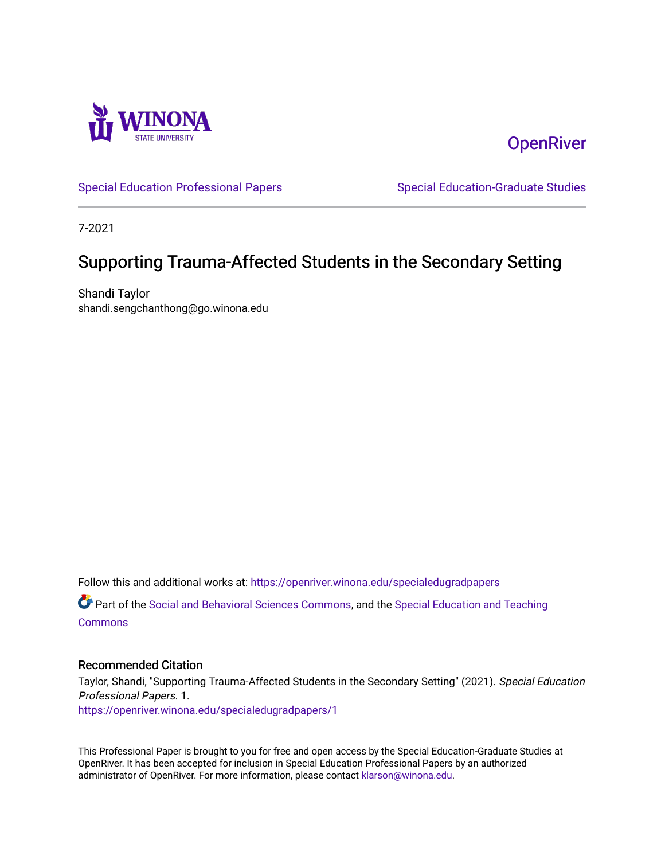

**OpenRiver** 

[Special Education Professional Papers](https://openriver.winona.edu/specialedugradpapers) Special Education-Graduate Studies

7-2021

# Supporting Trauma-Affected Students in the Secondary Setting

Shandi Taylor shandi.sengchanthong@go.winona.edu

Follow this and additional works at: [https://openriver.winona.edu/specialedugradpapers](https://openriver.winona.edu/specialedugradpapers?utm_source=openriver.winona.edu%2Fspecialedugradpapers%2F1&utm_medium=PDF&utm_campaign=PDFCoverPages)

Part of the [Social and Behavioral Sciences Commons,](http://network.bepress.com/hgg/discipline/316?utm_source=openriver.winona.edu%2Fspecialedugradpapers%2F1&utm_medium=PDF&utm_campaign=PDFCoverPages) and the [Special Education and Teaching](http://network.bepress.com/hgg/discipline/801?utm_source=openriver.winona.edu%2Fspecialedugradpapers%2F1&utm_medium=PDF&utm_campaign=PDFCoverPages)  **[Commons](http://network.bepress.com/hgg/discipline/801?utm_source=openriver.winona.edu%2Fspecialedugradpapers%2F1&utm_medium=PDF&utm_campaign=PDFCoverPages)** 

### Recommended Citation

Taylor, Shandi, "Supporting Trauma-Affected Students in the Secondary Setting" (2021). Special Education Professional Papers. 1. [https://openriver.winona.edu/specialedugradpapers/1](https://openriver.winona.edu/specialedugradpapers/1?utm_source=openriver.winona.edu%2Fspecialedugradpapers%2F1&utm_medium=PDF&utm_campaign=PDFCoverPages)

This Professional Paper is brought to you for free and open access by the Special Education-Graduate Studies at OpenRiver. It has been accepted for inclusion in Special Education Professional Papers by an authorized administrator of OpenRiver. For more information, please contact [klarson@winona.edu.](mailto:klarson@winona.edu)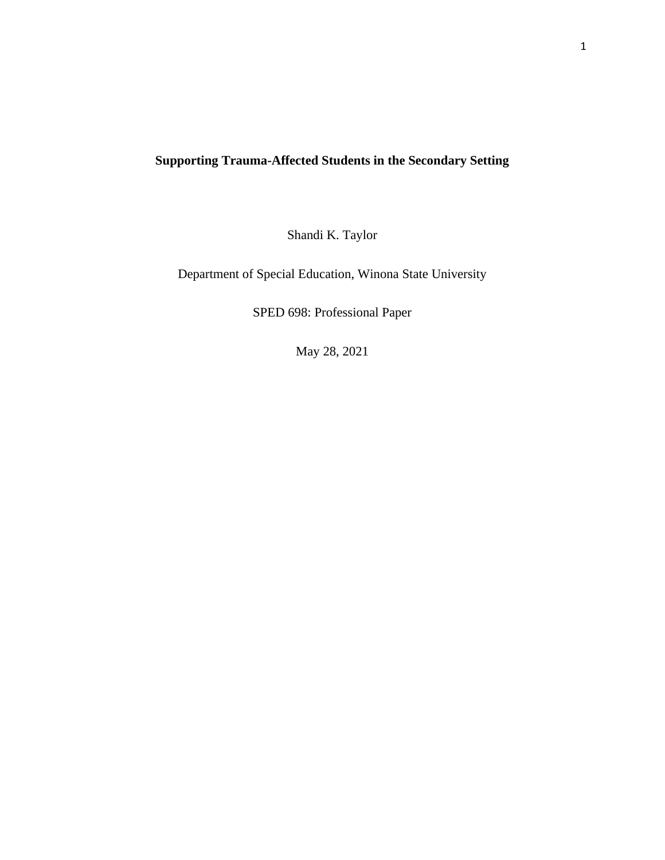# **Supporting Trauma-Affected Students in the Secondary Setting**

Shandi K. Taylor

Department of Special Education, Winona State University

SPED 698: Professional Paper

May 28, 2021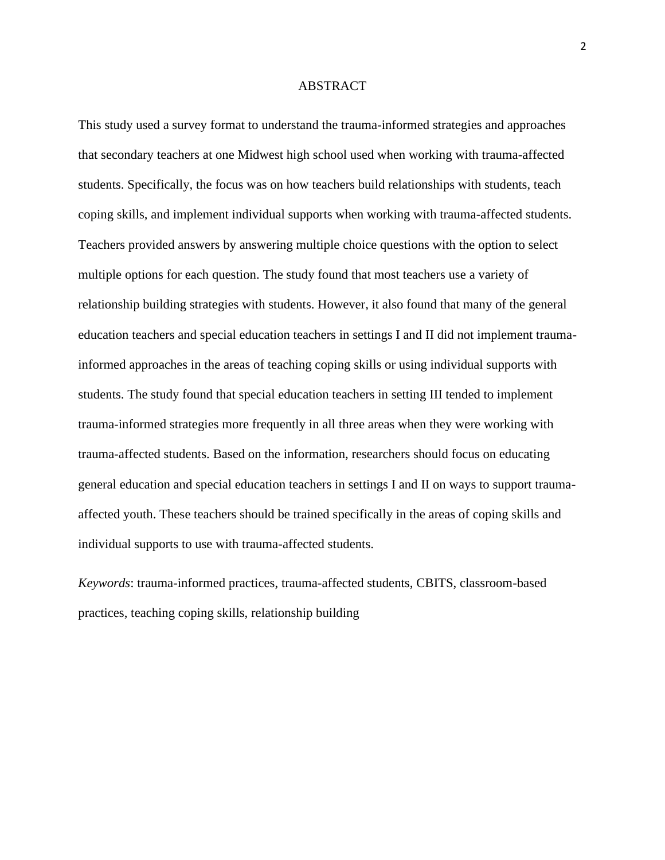#### ABSTRACT

This study used a survey format to understand the trauma-informed strategies and approaches that secondary teachers at one Midwest high school used when working with trauma-affected students. Specifically, the focus was on how teachers build relationships with students, teach coping skills, and implement individual supports when working with trauma-affected students. Teachers provided answers by answering multiple choice questions with the option to select multiple options for each question. The study found that most teachers use a variety of relationship building strategies with students. However, it also found that many of the general education teachers and special education teachers in settings I and II did not implement traumainformed approaches in the areas of teaching coping skills or using individual supports with students. The study found that special education teachers in setting III tended to implement trauma-informed strategies more frequently in all three areas when they were working with trauma-affected students. Based on the information, researchers should focus on educating general education and special education teachers in settings I and II on ways to support traumaaffected youth. These teachers should be trained specifically in the areas of coping skills and individual supports to use with trauma-affected students.

*Keywords*: trauma-informed practices, trauma-affected students, CBITS, classroom-based practices, teaching coping skills, relationship building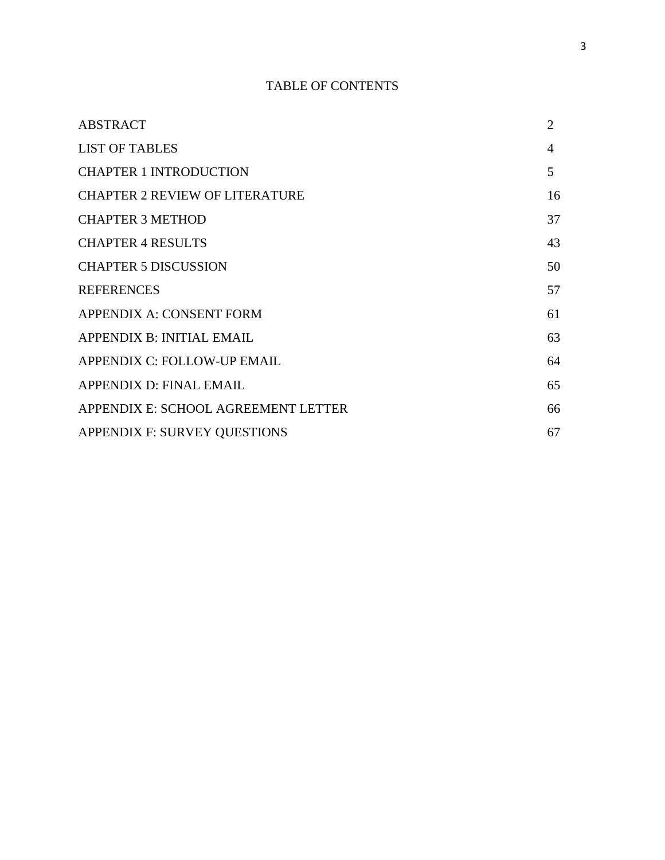# TABLE OF CONTENTS

| <b>ABSTRACT</b>                       | $\overline{2}$ |
|---------------------------------------|----------------|
| <b>LIST OF TABLES</b>                 | 4              |
| <b>CHAPTER 1 INTRODUCTION</b>         | 5              |
| <b>CHAPTER 2 REVIEW OF LITERATURE</b> | 16             |
| <b>CHAPTER 3 METHOD</b>               | 37             |
| <b>CHAPTER 4 RESULTS</b>              | 43             |
| <b>CHAPTER 5 DISCUSSION</b>           | 50             |
| <b>REFERENCES</b>                     | 57             |
| APPENDIX A: CONSENT FORM              | 61             |
| APPENDIX B: INITIAL EMAIL             | 63             |
| APPENDIX C: FOLLOW-UP EMAIL           | 64             |
| APPENDIX D: FINAL EMAIL               | 65             |
| APPENDIX E: SCHOOL AGREEMENT LETTER   | 66             |
| APPENDIX F: SURVEY QUESTIONS          | 67             |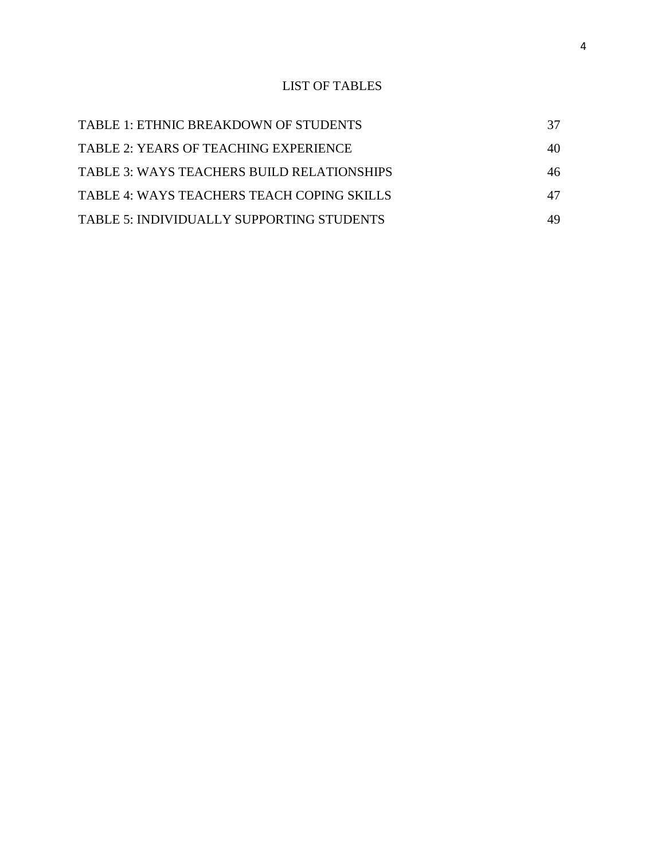# LIST OF TABLES

| TABLE 1: ETHNIC BREAKDOWN OF STUDENTS        |    |
|----------------------------------------------|----|
| <b>TABLE 2: YEARS OF TEACHING EXPERIENCE</b> | 40 |
| TABLE 3: WAYS TEACHERS BUILD RELATIONSHIPS   | 46 |
| TABLE 4: WAYS TEACHERS TEACH COPING SKILLS   | 47 |
| TABLE 5: INDIVIDUALLY SUPPORTING STUDENTS    | 49 |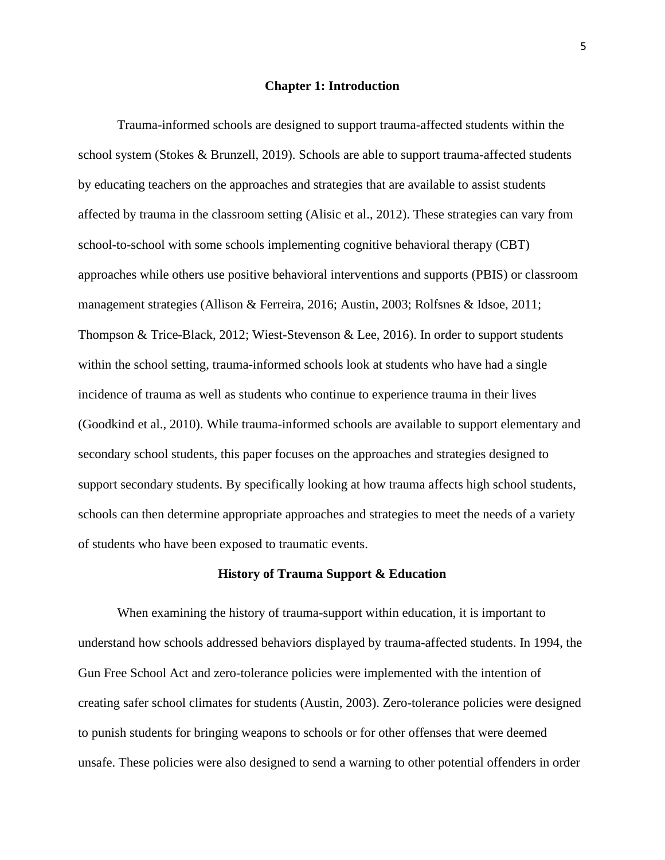#### **Chapter 1: Introduction**

Trauma-informed schools are designed to support trauma-affected students within the school system (Stokes & Brunzell, 2019). Schools are able to support trauma-affected students by educating teachers on the approaches and strategies that are available to assist students affected by trauma in the classroom setting (Alisic et al., 2012). These strategies can vary from school-to-school with some schools implementing cognitive behavioral therapy (CBT) approaches while others use positive behavioral interventions and supports (PBIS) or classroom management strategies (Allison & Ferreira, 2016; Austin, 2003; Rolfsnes & Idsoe, 2011; Thompson & Trice-Black, 2012; Wiest-Stevenson & Lee, 2016). In order to support students within the school setting, trauma-informed schools look at students who have had a single incidence of trauma as well as students who continue to experience trauma in their lives (Goodkind et al., 2010). While trauma-informed schools are available to support elementary and secondary school students, this paper focuses on the approaches and strategies designed to support secondary students. By specifically looking at how trauma affects high school students, schools can then determine appropriate approaches and strategies to meet the needs of a variety of students who have been exposed to traumatic events.

#### **History of Trauma Support & Education**

When examining the history of trauma-support within education, it is important to understand how schools addressed behaviors displayed by trauma-affected students. In 1994, the Gun Free School Act and zero-tolerance policies were implemented with the intention of creating safer school climates for students (Austin, 2003). Zero-tolerance policies were designed to punish students for bringing weapons to schools or for other offenses that were deemed unsafe. These policies were also designed to send a warning to other potential offenders in order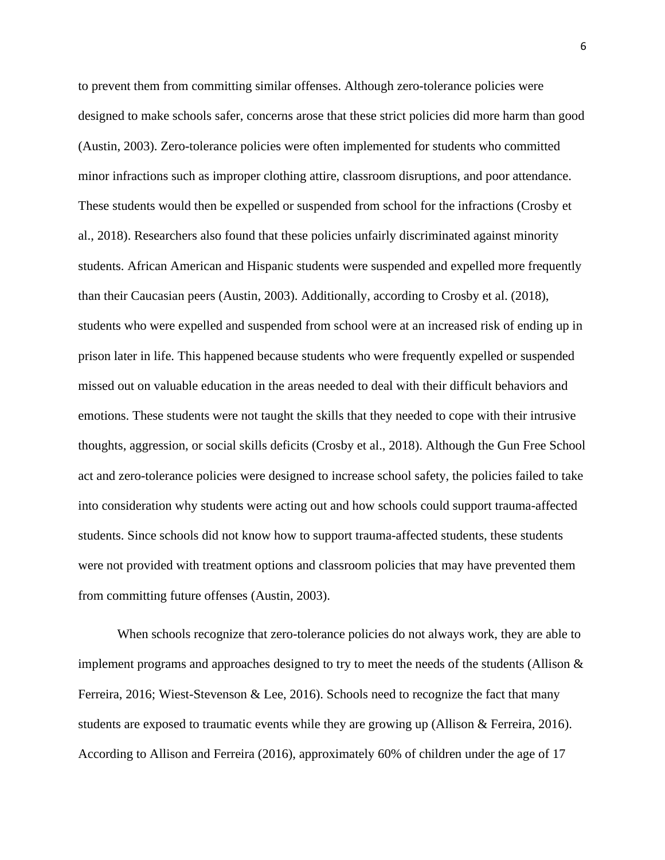to prevent them from committing similar offenses. Although zero-tolerance policies were designed to make schools safer, concerns arose that these strict policies did more harm than good (Austin, 2003). Zero-tolerance policies were often implemented for students who committed minor infractions such as improper clothing attire, classroom disruptions, and poor attendance. These students would then be expelled or suspended from school for the infractions (Crosby et al., 2018). Researchers also found that these policies unfairly discriminated against minority students. African American and Hispanic students were suspended and expelled more frequently than their Caucasian peers (Austin, 2003). Additionally, according to Crosby et al. (2018), students who were expelled and suspended from school were at an increased risk of ending up in prison later in life. This happened because students who were frequently expelled or suspended missed out on valuable education in the areas needed to deal with their difficult behaviors and emotions. These students were not taught the skills that they needed to cope with their intrusive thoughts, aggression, or social skills deficits (Crosby et al., 2018). Although the Gun Free School act and zero-tolerance policies were designed to increase school safety, the policies failed to take into consideration why students were acting out and how schools could support trauma-affected students. Since schools did not know how to support trauma-affected students, these students were not provided with treatment options and classroom policies that may have prevented them from committing future offenses (Austin, 2003).

When schools recognize that zero-tolerance policies do not always work, they are able to implement programs and approaches designed to try to meet the needs of the students (Allison  $\&$ Ferreira, 2016; Wiest-Stevenson & Lee, 2016). Schools need to recognize the fact that many students are exposed to traumatic events while they are growing up (Allison & Ferreira, 2016). According to Allison and Ferreira (2016), approximately 60% of children under the age of 17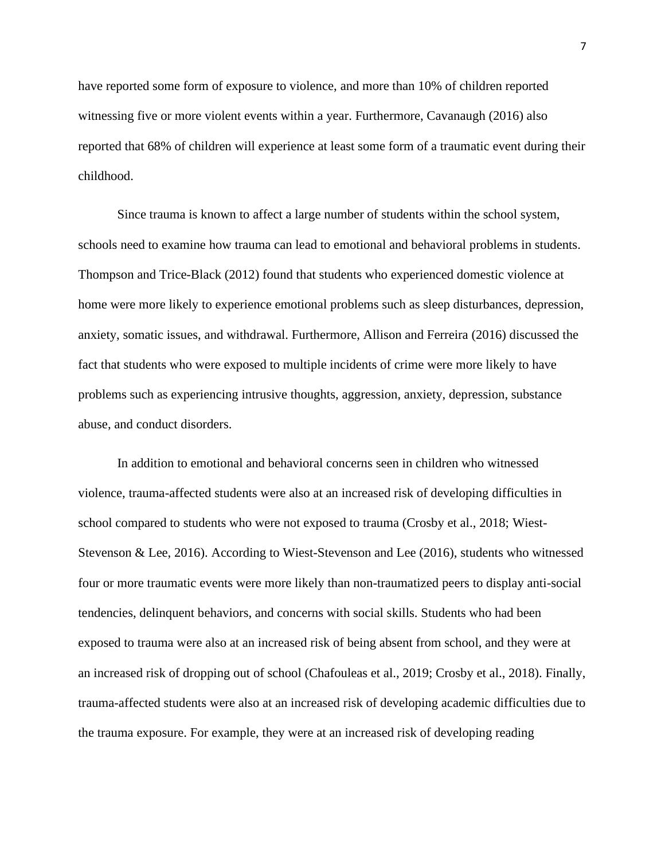have reported some form of exposure to violence, and more than 10% of children reported witnessing five or more violent events within a year. Furthermore, Cavanaugh (2016) also reported that 68% of children will experience at least some form of a traumatic event during their childhood.

Since trauma is known to affect a large number of students within the school system, schools need to examine how trauma can lead to emotional and behavioral problems in students. Thompson and Trice-Black (2012) found that students who experienced domestic violence at home were more likely to experience emotional problems such as sleep disturbances, depression, anxiety, somatic issues, and withdrawal. Furthermore, Allison and Ferreira (2016) discussed the fact that students who were exposed to multiple incidents of crime were more likely to have problems such as experiencing intrusive thoughts, aggression, anxiety, depression, substance abuse, and conduct disorders.

In addition to emotional and behavioral concerns seen in children who witnessed violence, trauma-affected students were also at an increased risk of developing difficulties in school compared to students who were not exposed to trauma (Crosby et al., 2018; Wiest-Stevenson & Lee, 2016). According to Wiest-Stevenson and Lee (2016), students who witnessed four or more traumatic events were more likely than non-traumatized peers to display anti-social tendencies, delinquent behaviors, and concerns with social skills. Students who had been exposed to trauma were also at an increased risk of being absent from school, and they were at an increased risk of dropping out of school (Chafouleas et al., 2019; Crosby et al., 2018). Finally, trauma-affected students were also at an increased risk of developing academic difficulties due to the trauma exposure. For example, they were at an increased risk of developing reading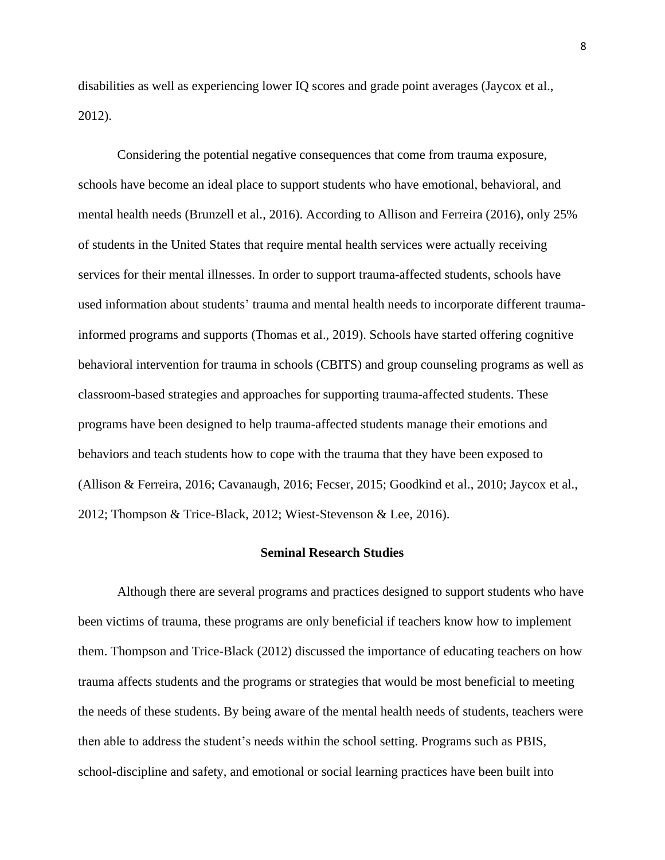disabilities as well as experiencing lower IQ scores and grade point averages (Jaycox et al., 2012).

Considering the potential negative consequences that come from trauma exposure, schools have become an ideal place to support students who have emotional, behavioral, and mental health needs (Brunzell et al., 2016). According to Allison and Ferreira (2016), only 25% of students in the United States that require mental health services were actually receiving services for their mental illnesses. In order to support trauma-affected students, schools have used information about students' trauma and mental health needs to incorporate different traumainformed programs and supports (Thomas et al., 2019). Schools have started offering cognitive behavioral intervention for trauma in schools (CBITS) and group counseling programs as well as classroom-based strategies and approaches for supporting trauma-affected students. These programs have been designed to help trauma-affected students manage their emotions and behaviors and teach students how to cope with the trauma that they have been exposed to (Allison & Ferreira, 2016; Cavanaugh, 2016; Fecser, 2015; Goodkind et al., 2010; Jaycox et al., 2012; Thompson & Trice-Black, 2012; Wiest-Stevenson & Lee, 2016).

#### **Seminal Research Studies**

Although there are several programs and practices designed to support students who have been victims of trauma, these programs are only beneficial if teachers know how to implement them. Thompson and Trice-Black (2012) discussed the importance of educating teachers on how trauma affects students and the programs or strategies that would be most beneficial to meeting the needs of these students. By being aware of the mental health needs of students, teachers were then able to address the student's needs within the school setting. Programs such as PBIS, school-discipline and safety, and emotional or social learning practices have been built into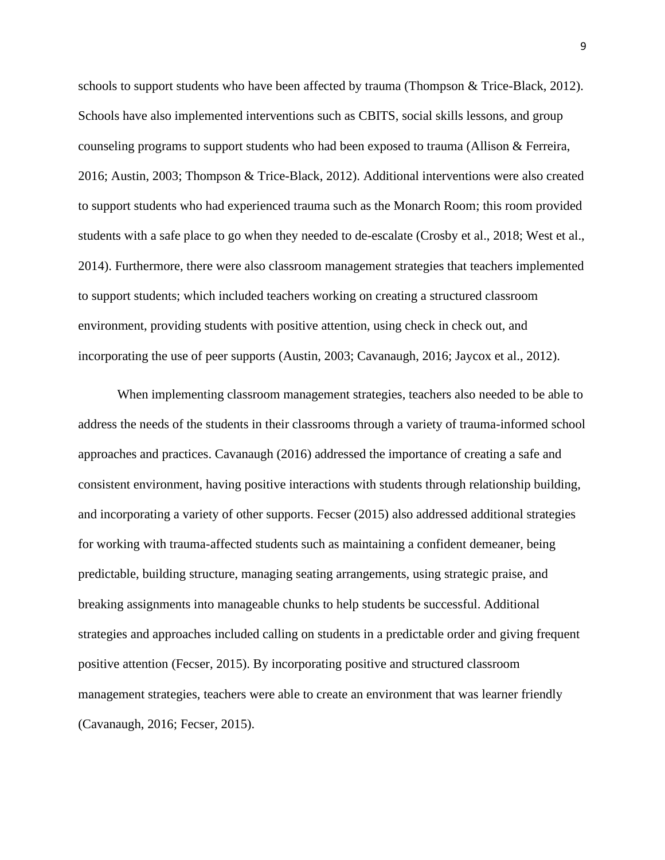schools to support students who have been affected by trauma (Thompson & Trice-Black, 2012). Schools have also implemented interventions such as CBITS, social skills lessons, and group counseling programs to support students who had been exposed to trauma (Allison & Ferreira, 2016; Austin, 2003; Thompson & Trice-Black, 2012). Additional interventions were also created to support students who had experienced trauma such as the Monarch Room; this room provided students with a safe place to go when they needed to de-escalate (Crosby et al., 2018; West et al., 2014). Furthermore, there were also classroom management strategies that teachers implemented to support students; which included teachers working on creating a structured classroom environment, providing students with positive attention, using check in check out, and incorporating the use of peer supports (Austin, 2003; Cavanaugh, 2016; Jaycox et al., 2012).

When implementing classroom management strategies, teachers also needed to be able to address the needs of the students in their classrooms through a variety of trauma-informed school approaches and practices. Cavanaugh (2016) addressed the importance of creating a safe and consistent environment, having positive interactions with students through relationship building, and incorporating a variety of other supports. Fecser (2015) also addressed additional strategies for working with trauma-affected students such as maintaining a confident demeaner, being predictable, building structure, managing seating arrangements, using strategic praise, and breaking assignments into manageable chunks to help students be successful. Additional strategies and approaches included calling on students in a predictable order and giving frequent positive attention (Fecser, 2015). By incorporating positive and structured classroom management strategies, teachers were able to create an environment that was learner friendly (Cavanaugh, 2016; Fecser, 2015).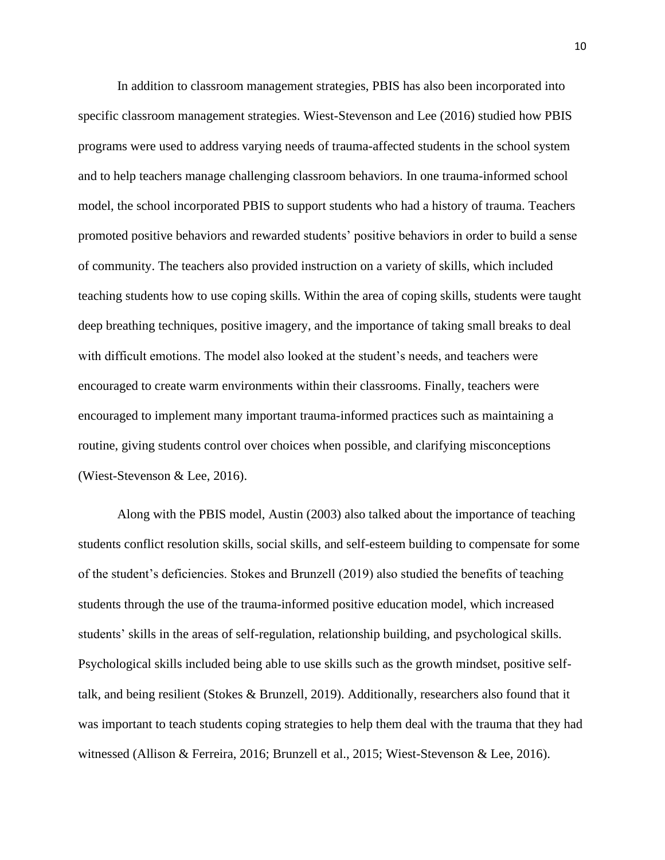In addition to classroom management strategies, PBIS has also been incorporated into specific classroom management strategies. Wiest-Stevenson and Lee (2016) studied how PBIS programs were used to address varying needs of trauma-affected students in the school system and to help teachers manage challenging classroom behaviors. In one trauma-informed school model, the school incorporated PBIS to support students who had a history of trauma. Teachers promoted positive behaviors and rewarded students' positive behaviors in order to build a sense of community. The teachers also provided instruction on a variety of skills, which included teaching students how to use coping skills. Within the area of coping skills, students were taught deep breathing techniques, positive imagery, and the importance of taking small breaks to deal with difficult emotions. The model also looked at the student's needs, and teachers were encouraged to create warm environments within their classrooms. Finally, teachers were encouraged to implement many important trauma-informed practices such as maintaining a routine, giving students control over choices when possible, and clarifying misconceptions (Wiest-Stevenson & Lee, 2016).

Along with the PBIS model, Austin (2003) also talked about the importance of teaching students conflict resolution skills, social skills, and self-esteem building to compensate for some of the student's deficiencies. Stokes and Brunzell (2019) also studied the benefits of teaching students through the use of the trauma-informed positive education model, which increased students' skills in the areas of self-regulation, relationship building, and psychological skills. Psychological skills included being able to use skills such as the growth mindset, positive selftalk, and being resilient (Stokes & Brunzell, 2019). Additionally, researchers also found that it was important to teach students coping strategies to help them deal with the trauma that they had witnessed (Allison & Ferreira, 2016; Brunzell et al., 2015; Wiest-Stevenson & Lee, 2016).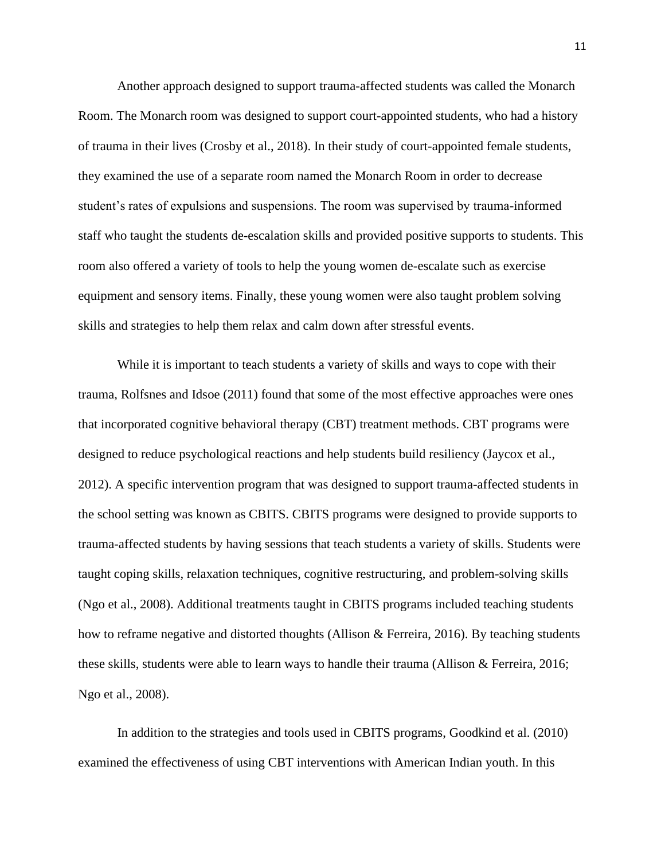Another approach designed to support trauma-affected students was called the Monarch Room. The Monarch room was designed to support court-appointed students, who had a history of trauma in their lives (Crosby et al., 2018). In their study of court-appointed female students, they examined the use of a separate room named the Monarch Room in order to decrease student's rates of expulsions and suspensions. The room was supervised by trauma-informed staff who taught the students de-escalation skills and provided positive supports to students. This room also offered a variety of tools to help the young women de-escalate such as exercise equipment and sensory items. Finally, these young women were also taught problem solving skills and strategies to help them relax and calm down after stressful events.

While it is important to teach students a variety of skills and ways to cope with their trauma, Rolfsnes and Idsoe (2011) found that some of the most effective approaches were ones that incorporated cognitive behavioral therapy (CBT) treatment methods. CBT programs were designed to reduce psychological reactions and help students build resiliency (Jaycox et al., 2012). A specific intervention program that was designed to support trauma-affected students in the school setting was known as CBITS. CBITS programs were designed to provide supports to trauma-affected students by having sessions that teach students a variety of skills. Students were taught coping skills, relaxation techniques, cognitive restructuring, and problem-solving skills (Ngo et al., 2008). Additional treatments taught in CBITS programs included teaching students how to reframe negative and distorted thoughts (Allison & Ferreira, 2016). By teaching students these skills, students were able to learn ways to handle their trauma (Allison & Ferreira, 2016; Ngo et al., 2008).

In addition to the strategies and tools used in CBITS programs, Goodkind et al. (2010) examined the effectiveness of using CBT interventions with American Indian youth. In this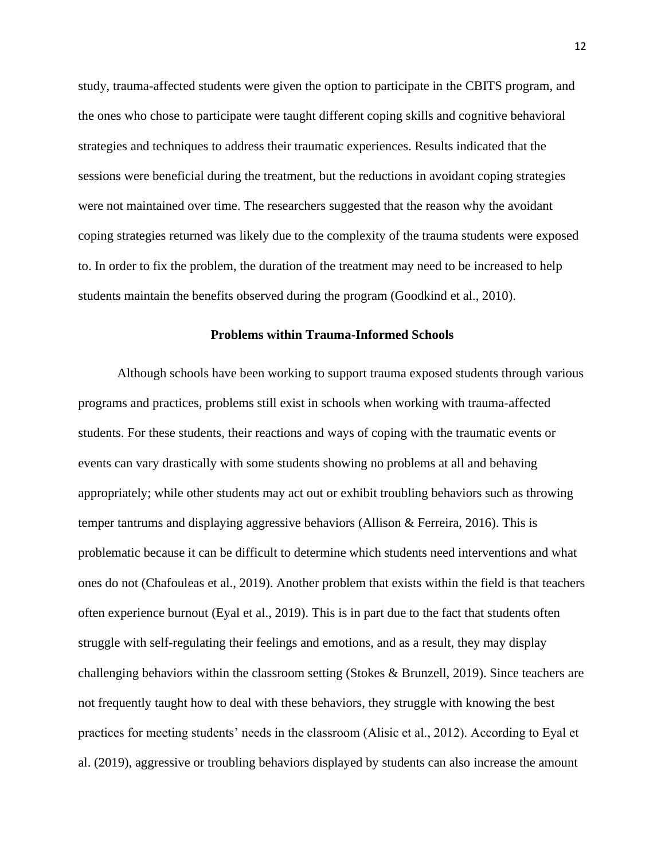study, trauma-affected students were given the option to participate in the CBITS program, and the ones who chose to participate were taught different coping skills and cognitive behavioral strategies and techniques to address their traumatic experiences. Results indicated that the sessions were beneficial during the treatment, but the reductions in avoidant coping strategies were not maintained over time. The researchers suggested that the reason why the avoidant coping strategies returned was likely due to the complexity of the trauma students were exposed to. In order to fix the problem, the duration of the treatment may need to be increased to help students maintain the benefits observed during the program (Goodkind et al., 2010).

### **Problems within Trauma-Informed Schools**

Although schools have been working to support trauma exposed students through various programs and practices, problems still exist in schools when working with trauma-affected students. For these students, their reactions and ways of coping with the traumatic events or events can vary drastically with some students showing no problems at all and behaving appropriately; while other students may act out or exhibit troubling behaviors such as throwing temper tantrums and displaying aggressive behaviors (Allison & Ferreira, 2016). This is problematic because it can be difficult to determine which students need interventions and what ones do not (Chafouleas et al., 2019). Another problem that exists within the field is that teachers often experience burnout (Eyal et al., 2019). This is in part due to the fact that students often struggle with self-regulating their feelings and emotions, and as a result, they may display challenging behaviors within the classroom setting (Stokes & Brunzell, 2019). Since teachers are not frequently taught how to deal with these behaviors, they struggle with knowing the best practices for meeting students' needs in the classroom (Alisic et al., 2012). According to Eyal et al. (2019), aggressive or troubling behaviors displayed by students can also increase the amount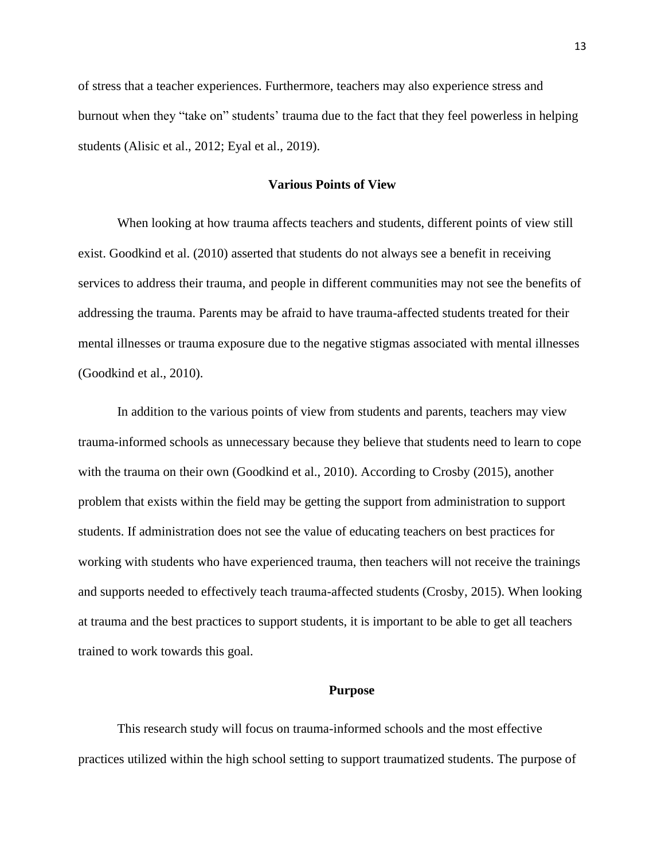of stress that a teacher experiences. Furthermore, teachers may also experience stress and burnout when they "take on" students' trauma due to the fact that they feel powerless in helping students (Alisic et al., 2012; Eyal et al., 2019).

#### **Various Points of View**

When looking at how trauma affects teachers and students, different points of view still exist. Goodkind et al. (2010) asserted that students do not always see a benefit in receiving services to address their trauma, and people in different communities may not see the benefits of addressing the trauma. Parents may be afraid to have trauma-affected students treated for their mental illnesses or trauma exposure due to the negative stigmas associated with mental illnesses (Goodkind et al., 2010).

In addition to the various points of view from students and parents, teachers may view trauma-informed schools as unnecessary because they believe that students need to learn to cope with the trauma on their own (Goodkind et al., 2010). According to Crosby (2015), another problem that exists within the field may be getting the support from administration to support students. If administration does not see the value of educating teachers on best practices for working with students who have experienced trauma, then teachers will not receive the trainings and supports needed to effectively teach trauma-affected students (Crosby, 2015). When looking at trauma and the best practices to support students, it is important to be able to get all teachers trained to work towards this goal.

#### **Purpose**

This research study will focus on trauma-informed schools and the most effective practices utilized within the high school setting to support traumatized students. The purpose of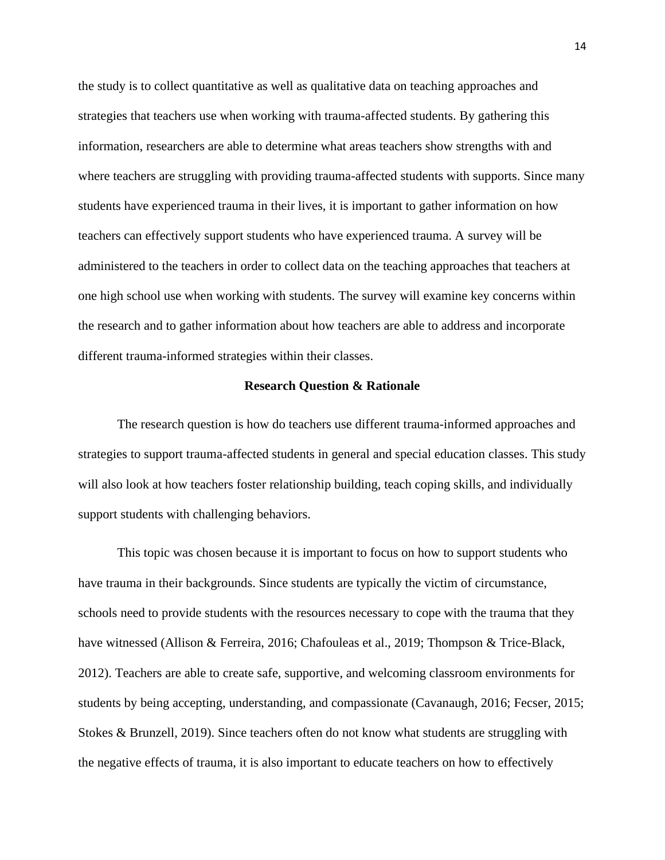the study is to collect quantitative as well as qualitative data on teaching approaches and strategies that teachers use when working with trauma-affected students. By gathering this information, researchers are able to determine what areas teachers show strengths with and where teachers are struggling with providing trauma-affected students with supports. Since many students have experienced trauma in their lives, it is important to gather information on how teachers can effectively support students who have experienced trauma. A survey will be administered to the teachers in order to collect data on the teaching approaches that teachers at one high school use when working with students. The survey will examine key concerns within the research and to gather information about how teachers are able to address and incorporate different trauma-informed strategies within their classes.

#### **Research Question & Rationale**

The research question is how do teachers use different trauma-informed approaches and strategies to support trauma-affected students in general and special education classes. This study will also look at how teachers foster relationship building, teach coping skills, and individually support students with challenging behaviors.

This topic was chosen because it is important to focus on how to support students who have trauma in their backgrounds. Since students are typically the victim of circumstance, schools need to provide students with the resources necessary to cope with the trauma that they have witnessed (Allison & Ferreira, 2016; Chafouleas et al., 2019; Thompson & Trice-Black, 2012). Teachers are able to create safe, supportive, and welcoming classroom environments for students by being accepting, understanding, and compassionate (Cavanaugh, 2016; Fecser, 2015; Stokes & Brunzell, 2019). Since teachers often do not know what students are struggling with the negative effects of trauma, it is also important to educate teachers on how to effectively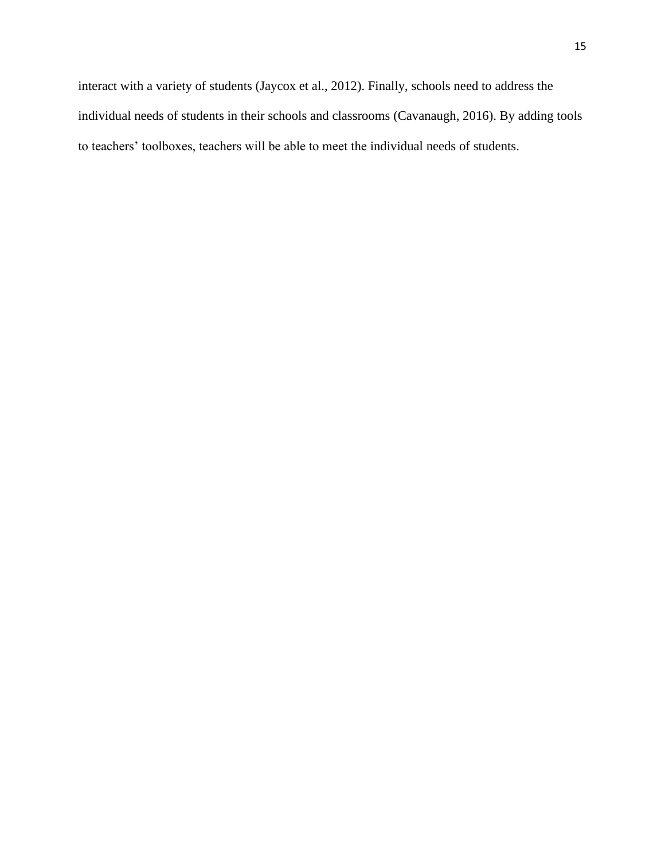interact with a variety of students (Jaycox et al., 2012). Finally, schools need to address the individual needs of students in their schools and classrooms (Cavanaugh, 2016). By adding tools to teachers' toolboxes, teachers will be able to meet the individual needs of students.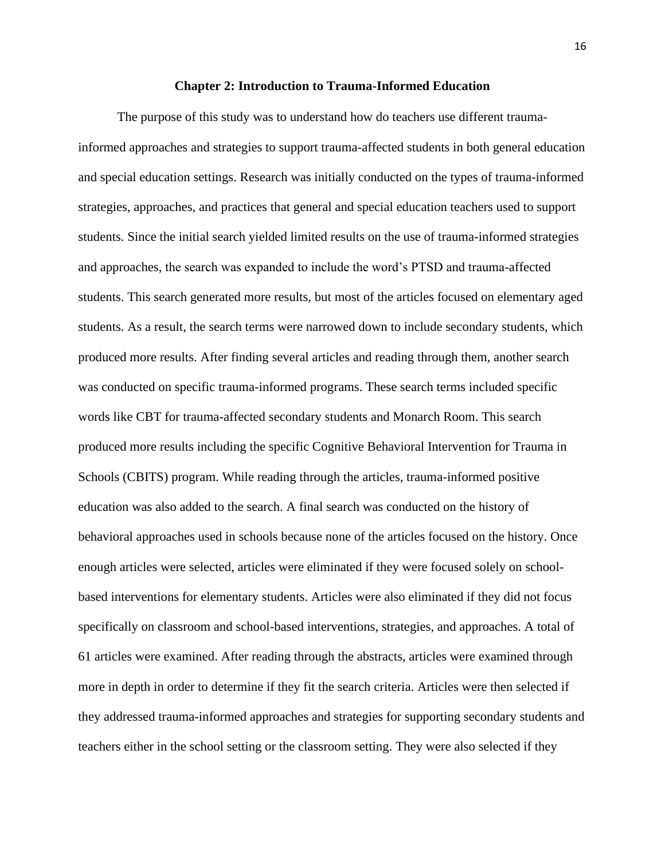#### **Chapter 2: Introduction to Trauma-Informed Education**

The purpose of this study was to understand how do teachers use different traumainformed approaches and strategies to support trauma-affected students in both general education and special education settings. Research was initially conducted on the types of trauma-informed strategies, approaches, and practices that general and special education teachers used to support students. Since the initial search yielded limited results on the use of trauma-informed strategies and approaches, the search was expanded to include the word's PTSD and trauma-affected students. This search generated more results, but most of the articles focused on elementary aged students. As a result, the search terms were narrowed down to include secondary students, which produced more results. After finding several articles and reading through them, another search was conducted on specific trauma-informed programs. These search terms included specific words like CBT for trauma-affected secondary students and Monarch Room. This search produced more results including the specific Cognitive Behavioral Intervention for Trauma in Schools (CBITS) program. While reading through the articles, trauma-informed positive education was also added to the search. A final search was conducted on the history of behavioral approaches used in schools because none of the articles focused on the history. Once enough articles were selected, articles were eliminated if they were focused solely on schoolbased interventions for elementary students. Articles were also eliminated if they did not focus specifically on classroom and school-based interventions, strategies, and approaches. A total of 61 articles were examined. After reading through the abstracts, articles were examined through more in depth in order to determine if they fit the search criteria. Articles were then selected if they addressed trauma-informed approaches and strategies for supporting secondary students and teachers either in the school setting or the classroom setting. They were also selected if they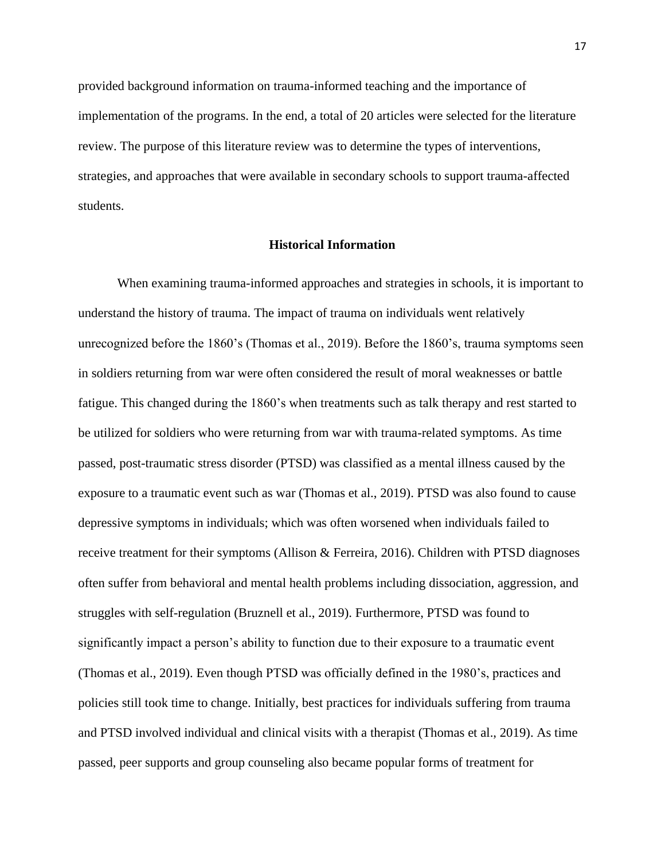provided background information on trauma-informed teaching and the importance of implementation of the programs. In the end, a total of 20 articles were selected for the literature review. The purpose of this literature review was to determine the types of interventions, strategies, and approaches that were available in secondary schools to support trauma-affected students.

#### **Historical Information**

When examining trauma-informed approaches and strategies in schools, it is important to understand the history of trauma. The impact of trauma on individuals went relatively unrecognized before the 1860's (Thomas et al., 2019). Before the 1860's, trauma symptoms seen in soldiers returning from war were often considered the result of moral weaknesses or battle fatigue. This changed during the 1860's when treatments such as talk therapy and rest started to be utilized for soldiers who were returning from war with trauma-related symptoms. As time passed, post-traumatic stress disorder (PTSD) was classified as a mental illness caused by the exposure to a traumatic event such as war (Thomas et al., 2019). PTSD was also found to cause depressive symptoms in individuals; which was often worsened when individuals failed to receive treatment for their symptoms (Allison & Ferreira, 2016). Children with PTSD diagnoses often suffer from behavioral and mental health problems including dissociation, aggression, and struggles with self-regulation (Bruznell et al., 2019). Furthermore, PTSD was found to significantly impact a person's ability to function due to their exposure to a traumatic event (Thomas et al., 2019). Even though PTSD was officially defined in the 1980's, practices and policies still took time to change. Initially, best practices for individuals suffering from trauma and PTSD involved individual and clinical visits with a therapist (Thomas et al., 2019). As time passed, peer supports and group counseling also became popular forms of treatment for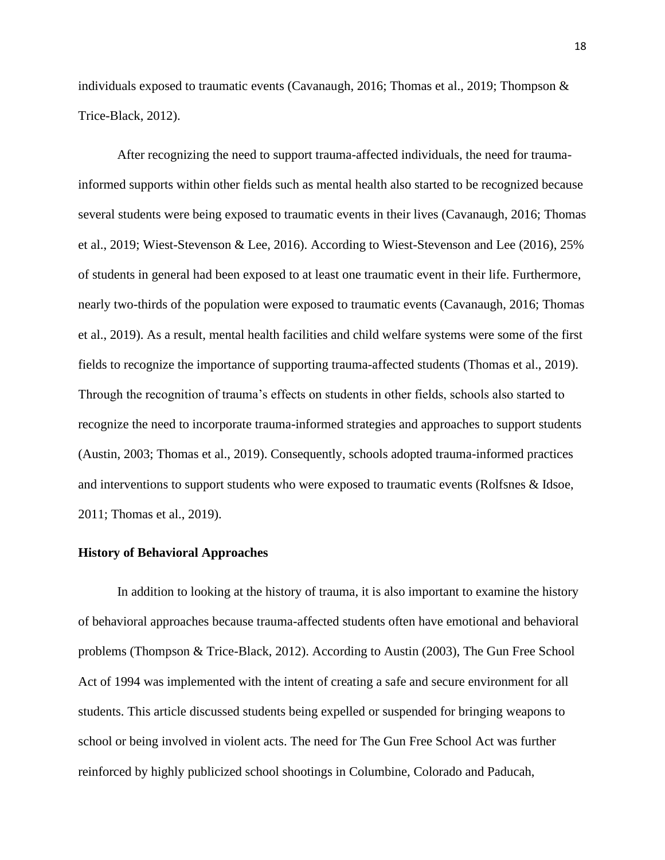individuals exposed to traumatic events (Cavanaugh, 2016; Thomas et al., 2019; Thompson & Trice-Black, 2012).

After recognizing the need to support trauma-affected individuals, the need for traumainformed supports within other fields such as mental health also started to be recognized because several students were being exposed to traumatic events in their lives (Cavanaugh, 2016; Thomas et al., 2019; Wiest-Stevenson & Lee, 2016). According to Wiest-Stevenson and Lee (2016), 25% of students in general had been exposed to at least one traumatic event in their life. Furthermore, nearly two-thirds of the population were exposed to traumatic events (Cavanaugh, 2016; Thomas et al., 2019). As a result, mental health facilities and child welfare systems were some of the first fields to recognize the importance of supporting trauma-affected students (Thomas et al., 2019). Through the recognition of trauma's effects on students in other fields, schools also started to recognize the need to incorporate trauma-informed strategies and approaches to support students (Austin, 2003; Thomas et al., 2019). Consequently, schools adopted trauma-informed practices and interventions to support students who were exposed to traumatic events (Rolfsnes & Idsoe, 2011; Thomas et al., 2019).

#### **History of Behavioral Approaches**

In addition to looking at the history of trauma, it is also important to examine the history of behavioral approaches because trauma-affected students often have emotional and behavioral problems (Thompson & Trice-Black, 2012). According to Austin (2003), The Gun Free School Act of 1994 was implemented with the intent of creating a safe and secure environment for all students. This article discussed students being expelled or suspended for bringing weapons to school or being involved in violent acts. The need for The Gun Free School Act was further reinforced by highly publicized school shootings in Columbine, Colorado and Paducah,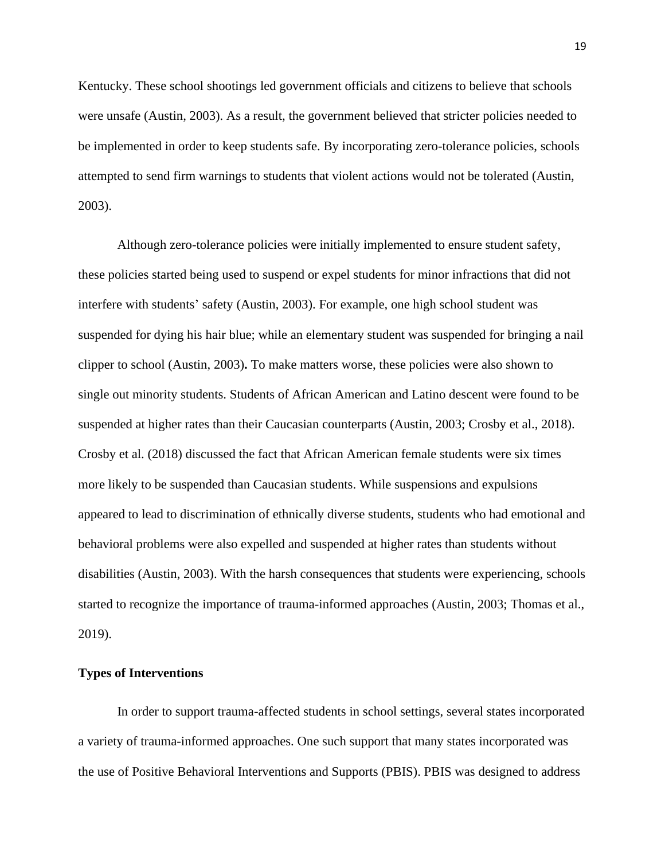Kentucky. These school shootings led government officials and citizens to believe that schools were unsafe (Austin, 2003). As a result, the government believed that stricter policies needed to be implemented in order to keep students safe. By incorporating zero-tolerance policies, schools attempted to send firm warnings to students that violent actions would not be tolerated (Austin, 2003).

Although zero-tolerance policies were initially implemented to ensure student safety, these policies started being used to suspend or expel students for minor infractions that did not interfere with students' safety (Austin, 2003). For example, one high school student was suspended for dying his hair blue; while an elementary student was suspended for bringing a nail clipper to school (Austin, 2003)**.** To make matters worse, these policies were also shown to single out minority students. Students of African American and Latino descent were found to be suspended at higher rates than their Caucasian counterparts (Austin, 2003; Crosby et al., 2018). Crosby et al. (2018) discussed the fact that African American female students were six times more likely to be suspended than Caucasian students. While suspensions and expulsions appeared to lead to discrimination of ethnically diverse students, students who had emotional and behavioral problems were also expelled and suspended at higher rates than students without disabilities (Austin, 2003). With the harsh consequences that students were experiencing, schools started to recognize the importance of trauma-informed approaches (Austin, 2003; Thomas et al., 2019).

#### **Types of Interventions**

In order to support trauma-affected students in school settings, several states incorporated a variety of trauma-informed approaches. One such support that many states incorporated was the use of Positive Behavioral Interventions and Supports (PBIS). PBIS was designed to address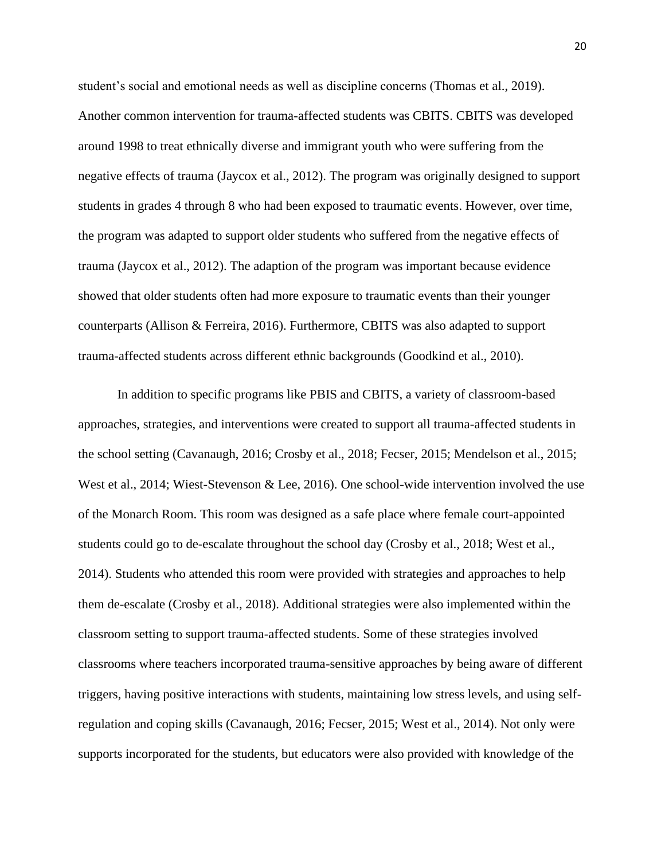student's social and emotional needs as well as discipline concerns (Thomas et al., 2019). Another common intervention for trauma-affected students was CBITS. CBITS was developed around 1998 to treat ethnically diverse and immigrant youth who were suffering from the negative effects of trauma (Jaycox et al., 2012). The program was originally designed to support students in grades 4 through 8 who had been exposed to traumatic events. However, over time, the program was adapted to support older students who suffered from the negative effects of trauma (Jaycox et al., 2012). The adaption of the program was important because evidence showed that older students often had more exposure to traumatic events than their younger counterparts (Allison & Ferreira, 2016). Furthermore, CBITS was also adapted to support trauma-affected students across different ethnic backgrounds (Goodkind et al., 2010).

In addition to specific programs like PBIS and CBITS, a variety of classroom-based approaches, strategies, and interventions were created to support all trauma-affected students in the school setting (Cavanaugh, 2016; Crosby et al., 2018; Fecser, 2015; Mendelson et al., 2015; West et al., 2014; Wiest-Stevenson & Lee, 2016). One school-wide intervention involved the use of the Monarch Room. This room was designed as a safe place where female court-appointed students could go to de-escalate throughout the school day (Crosby et al., 2018; West et al., 2014). Students who attended this room were provided with strategies and approaches to help them de-escalate (Crosby et al., 2018). Additional strategies were also implemented within the classroom setting to support trauma-affected students. Some of these strategies involved classrooms where teachers incorporated trauma-sensitive approaches by being aware of different triggers, having positive interactions with students, maintaining low stress levels, and using selfregulation and coping skills (Cavanaugh, 2016; Fecser, 2015; West et al., 2014). Not only were supports incorporated for the students, but educators were also provided with knowledge of the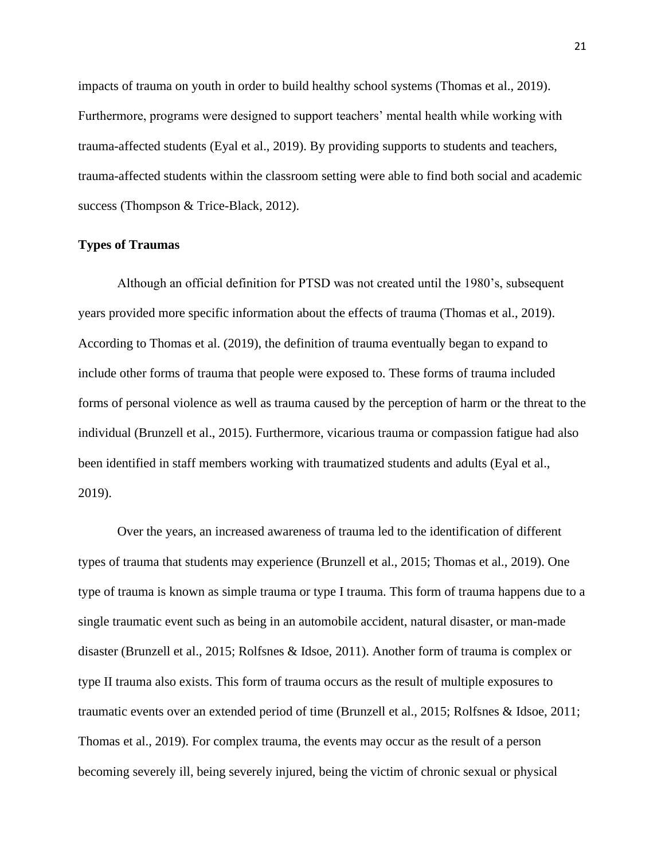impacts of trauma on youth in order to build healthy school systems (Thomas et al., 2019). Furthermore, programs were designed to support teachers' mental health while working with trauma-affected students (Eyal et al., 2019). By providing supports to students and teachers, trauma-affected students within the classroom setting were able to find both social and academic success (Thompson & Trice-Black, 2012).

### **Types of Traumas**

Although an official definition for PTSD was not created until the 1980's, subsequent years provided more specific information about the effects of trauma (Thomas et al., 2019). According to Thomas et al. (2019), the definition of trauma eventually began to expand to include other forms of trauma that people were exposed to. These forms of trauma included forms of personal violence as well as trauma caused by the perception of harm or the threat to the individual (Brunzell et al., 2015). Furthermore, vicarious trauma or compassion fatigue had also been identified in staff members working with traumatized students and adults (Eyal et al., 2019).

Over the years, an increased awareness of trauma led to the identification of different types of trauma that students may experience (Brunzell et al., 2015; Thomas et al., 2019). One type of trauma is known as simple trauma or type I trauma. This form of trauma happens due to a single traumatic event such as being in an automobile accident, natural disaster, or man-made disaster (Brunzell et al., 2015; Rolfsnes & Idsoe, 2011). Another form of trauma is complex or type II trauma also exists. This form of trauma occurs as the result of multiple exposures to traumatic events over an extended period of time (Brunzell et al., 2015; Rolfsnes & Idsoe, 2011; Thomas et al., 2019). For complex trauma, the events may occur as the result of a person becoming severely ill, being severely injured, being the victim of chronic sexual or physical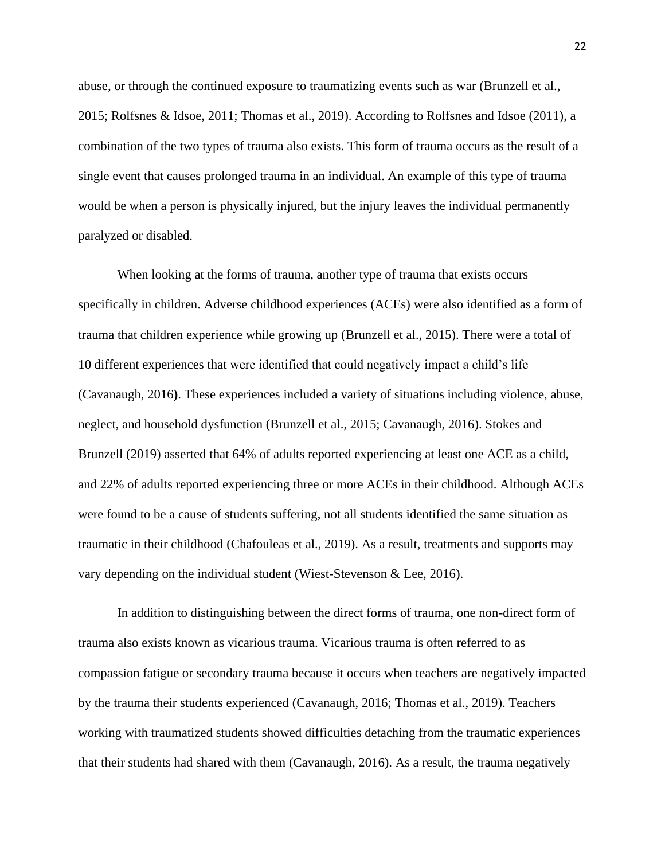abuse, or through the continued exposure to traumatizing events such as war (Brunzell et al., 2015; Rolfsnes & Idsoe, 2011; Thomas et al., 2019). According to Rolfsnes and Idsoe (2011), a combination of the two types of trauma also exists. This form of trauma occurs as the result of a single event that causes prolonged trauma in an individual. An example of this type of trauma would be when a person is physically injured, but the injury leaves the individual permanently paralyzed or disabled.

When looking at the forms of trauma, another type of trauma that exists occurs specifically in children. Adverse childhood experiences (ACEs) were also identified as a form of trauma that children experience while growing up (Brunzell et al., 2015). There were a total of 10 different experiences that were identified that could negatively impact a child's life (Cavanaugh, 2016**)**. These experiences included a variety of situations including violence, abuse, neglect, and household dysfunction (Brunzell et al., 2015; Cavanaugh, 2016). Stokes and Brunzell (2019) asserted that 64% of adults reported experiencing at least one ACE as a child, and 22% of adults reported experiencing three or more ACEs in their childhood. Although ACEs were found to be a cause of students suffering, not all students identified the same situation as traumatic in their childhood (Chafouleas et al., 2019). As a result, treatments and supports may vary depending on the individual student (Wiest-Stevenson & Lee, 2016).

In addition to distinguishing between the direct forms of trauma, one non-direct form of trauma also exists known as vicarious trauma. Vicarious trauma is often referred to as compassion fatigue or secondary trauma because it occurs when teachers are negatively impacted by the trauma their students experienced (Cavanaugh, 2016; Thomas et al., 2019). Teachers working with traumatized students showed difficulties detaching from the traumatic experiences that their students had shared with them (Cavanaugh, 2016). As a result, the trauma negatively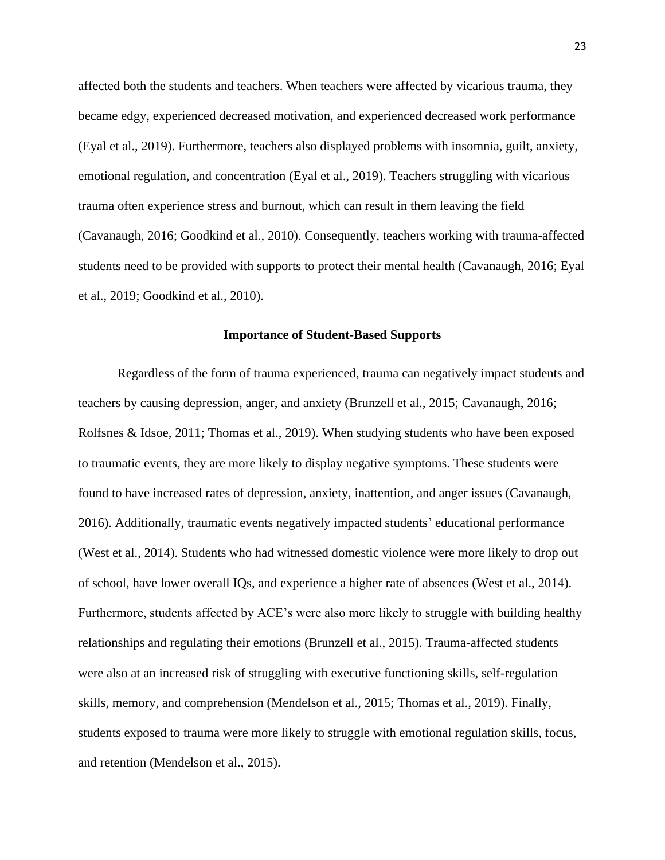affected both the students and teachers. When teachers were affected by vicarious trauma, they became edgy, experienced decreased motivation, and experienced decreased work performance (Eyal et al., 2019). Furthermore, teachers also displayed problems with insomnia, guilt, anxiety, emotional regulation, and concentration (Eyal et al., 2019). Teachers struggling with vicarious trauma often experience stress and burnout, which can result in them leaving the field (Cavanaugh, 2016; Goodkind et al., 2010). Consequently, teachers working with trauma-affected students need to be provided with supports to protect their mental health (Cavanaugh, 2016; Eyal et al., 2019; Goodkind et al., 2010).

#### **Importance of Student-Based Supports**

Regardless of the form of trauma experienced, trauma can negatively impact students and teachers by causing depression, anger, and anxiety (Brunzell et al., 2015; Cavanaugh, 2016; Rolfsnes & Idsoe, 2011; Thomas et al., 2019). When studying students who have been exposed to traumatic events, they are more likely to display negative symptoms. These students were found to have increased rates of depression, anxiety, inattention, and anger issues (Cavanaugh, 2016). Additionally, traumatic events negatively impacted students' educational performance (West et al., 2014). Students who had witnessed domestic violence were more likely to drop out of school, have lower overall IQs, and experience a higher rate of absences (West et al., 2014). Furthermore, students affected by ACE's were also more likely to struggle with building healthy relationships and regulating their emotions (Brunzell et al., 2015). Trauma-affected students were also at an increased risk of struggling with executive functioning skills, self-regulation skills, memory, and comprehension (Mendelson et al., 2015; Thomas et al., 2019). Finally, students exposed to trauma were more likely to struggle with emotional regulation skills, focus, and retention (Mendelson et al., 2015).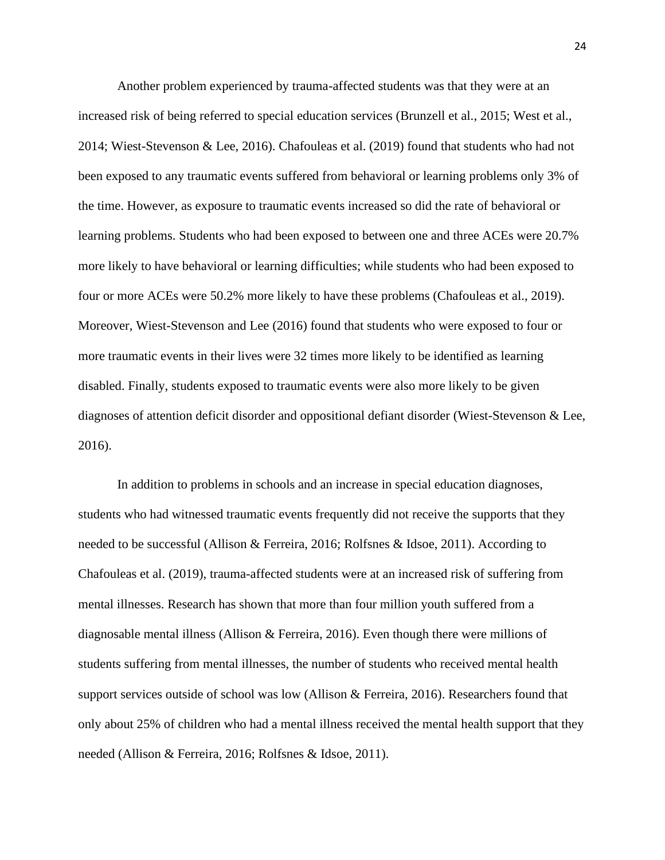Another problem experienced by trauma-affected students was that they were at an increased risk of being referred to special education services (Brunzell et al., 2015; West et al., 2014; Wiest-Stevenson & Lee, 2016). Chafouleas et al. (2019) found that students who had not been exposed to any traumatic events suffered from behavioral or learning problems only 3% of the time. However, as exposure to traumatic events increased so did the rate of behavioral or learning problems. Students who had been exposed to between one and three ACEs were 20.7% more likely to have behavioral or learning difficulties; while students who had been exposed to four or more ACEs were 50.2% more likely to have these problems (Chafouleas et al., 2019). Moreover, Wiest-Stevenson and Lee (2016) found that students who were exposed to four or more traumatic events in their lives were 32 times more likely to be identified as learning disabled. Finally, students exposed to traumatic events were also more likely to be given diagnoses of attention deficit disorder and oppositional defiant disorder (Wiest-Stevenson & Lee, 2016).

In addition to problems in schools and an increase in special education diagnoses, students who had witnessed traumatic events frequently did not receive the supports that they needed to be successful (Allison & Ferreira, 2016; Rolfsnes & Idsoe, 2011). According to Chafouleas et al. (2019), trauma-affected students were at an increased risk of suffering from mental illnesses. Research has shown that more than four million youth suffered from a diagnosable mental illness (Allison & Ferreira, 2016). Even though there were millions of students suffering from mental illnesses, the number of students who received mental health support services outside of school was low (Allison & Ferreira, 2016). Researchers found that only about 25% of children who had a mental illness received the mental health support that they needed (Allison & Ferreira, 2016; Rolfsnes & Idsoe, 2011).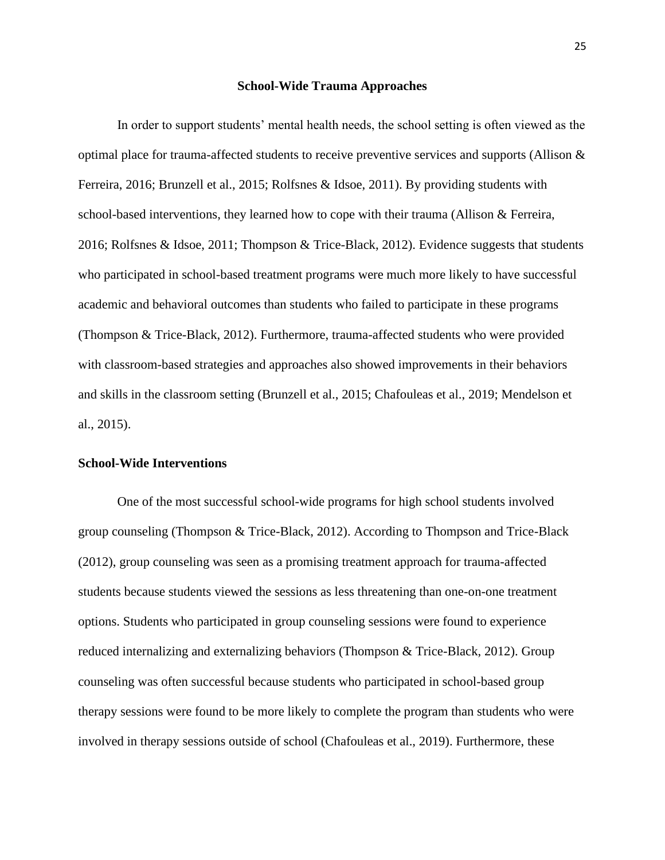#### **School-Wide Trauma Approaches**

In order to support students' mental health needs, the school setting is often viewed as the optimal place for trauma-affected students to receive preventive services and supports (Allison & Ferreira, 2016; Brunzell et al., 2015; Rolfsnes & Idsoe, 2011). By providing students with school-based interventions, they learned how to cope with their trauma (Allison & Ferreira, 2016; Rolfsnes & Idsoe, 2011; Thompson & Trice-Black, 2012). Evidence suggests that students who participated in school-based treatment programs were much more likely to have successful academic and behavioral outcomes than students who failed to participate in these programs (Thompson & Trice-Black, 2012). Furthermore, trauma-affected students who were provided with classroom-based strategies and approaches also showed improvements in their behaviors and skills in the classroom setting (Brunzell et al., 2015; Chafouleas et al., 2019; Mendelson et al., 2015).

#### **School-Wide Interventions**

One of the most successful school-wide programs for high school students involved group counseling (Thompson & Trice-Black, 2012). According to Thompson and Trice-Black (2012), group counseling was seen as a promising treatment approach for trauma-affected students because students viewed the sessions as less threatening than one-on-one treatment options. Students who participated in group counseling sessions were found to experience reduced internalizing and externalizing behaviors (Thompson & Trice-Black, 2012). Group counseling was often successful because students who participated in school-based group therapy sessions were found to be more likely to complete the program than students who were involved in therapy sessions outside of school (Chafouleas et al., 2019). Furthermore, these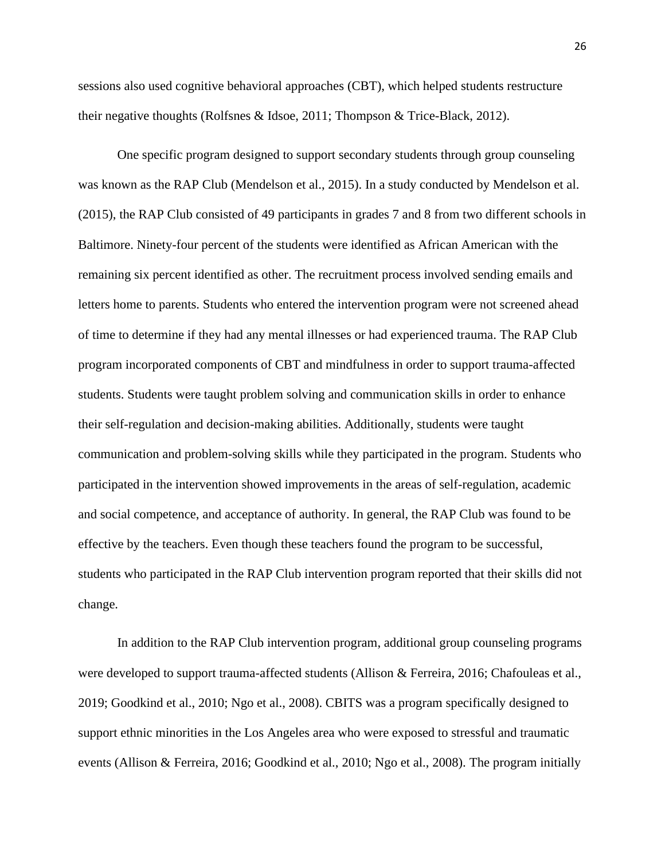sessions also used cognitive behavioral approaches (CBT), which helped students restructure their negative thoughts (Rolfsnes & Idsoe, 2011; Thompson & Trice-Black, 2012).

One specific program designed to support secondary students through group counseling was known as the RAP Club (Mendelson et al., 2015). In a study conducted by Mendelson et al. (2015), the RAP Club consisted of 49 participants in grades 7 and 8 from two different schools in Baltimore. Ninety-four percent of the students were identified as African American with the remaining six percent identified as other. The recruitment process involved sending emails and letters home to parents. Students who entered the intervention program were not screened ahead of time to determine if they had any mental illnesses or had experienced trauma. The RAP Club program incorporated components of CBT and mindfulness in order to support trauma-affected students. Students were taught problem solving and communication skills in order to enhance their self-regulation and decision-making abilities. Additionally, students were taught communication and problem-solving skills while they participated in the program. Students who participated in the intervention showed improvements in the areas of self-regulation, academic and social competence, and acceptance of authority. In general, the RAP Club was found to be effective by the teachers. Even though these teachers found the program to be successful, students who participated in the RAP Club intervention program reported that their skills did not change.

In addition to the RAP Club intervention program, additional group counseling programs were developed to support trauma-affected students (Allison & Ferreira, 2016; Chafouleas et al., 2019; Goodkind et al., 2010; Ngo et al., 2008). CBITS was a program specifically designed to support ethnic minorities in the Los Angeles area who were exposed to stressful and traumatic events (Allison & Ferreira, 2016; Goodkind et al., 2010; Ngo et al., 2008). The program initially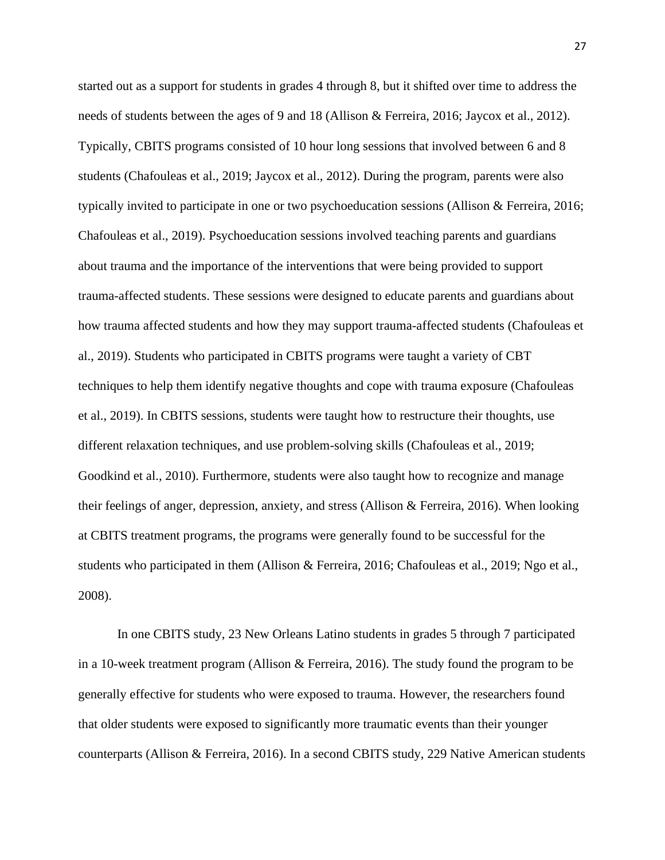started out as a support for students in grades 4 through 8, but it shifted over time to address the needs of students between the ages of 9 and 18 (Allison & Ferreira, 2016; Jaycox et al., 2012). Typically, CBITS programs consisted of 10 hour long sessions that involved between 6 and 8 students (Chafouleas et al., 2019; Jaycox et al., 2012). During the program, parents were also typically invited to participate in one or two psychoeducation sessions (Allison & Ferreira, 2016; Chafouleas et al., 2019). Psychoeducation sessions involved teaching parents and guardians about trauma and the importance of the interventions that were being provided to support trauma-affected students. These sessions were designed to educate parents and guardians about how trauma affected students and how they may support trauma-affected students (Chafouleas et al., 2019). Students who participated in CBITS programs were taught a variety of CBT techniques to help them identify negative thoughts and cope with trauma exposure (Chafouleas et al., 2019). In CBITS sessions, students were taught how to restructure their thoughts, use different relaxation techniques, and use problem-solving skills (Chafouleas et al., 2019; Goodkind et al., 2010). Furthermore, students were also taught how to recognize and manage their feelings of anger, depression, anxiety, and stress (Allison & Ferreira, 2016). When looking at CBITS treatment programs, the programs were generally found to be successful for the students who participated in them (Allison & Ferreira, 2016; Chafouleas et al., 2019; Ngo et al., 2008).

In one CBITS study, 23 New Orleans Latino students in grades 5 through 7 participated in a 10-week treatment program (Allison & Ferreira, 2016). The study found the program to be generally effective for students who were exposed to trauma. However, the researchers found that older students were exposed to significantly more traumatic events than their younger counterparts (Allison & Ferreira, 2016). In a second CBITS study, 229 Native American students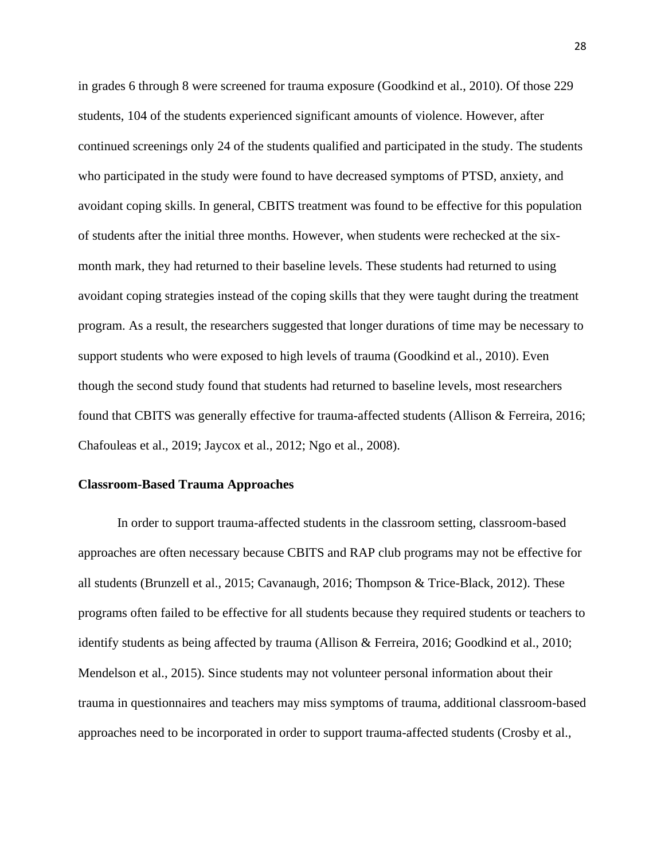in grades 6 through 8 were screened for trauma exposure (Goodkind et al., 2010). Of those 229 students, 104 of the students experienced significant amounts of violence. However, after continued screenings only 24 of the students qualified and participated in the study. The students who participated in the study were found to have decreased symptoms of PTSD, anxiety, and avoidant coping skills. In general, CBITS treatment was found to be effective for this population of students after the initial three months. However, when students were rechecked at the sixmonth mark, they had returned to their baseline levels. These students had returned to using avoidant coping strategies instead of the coping skills that they were taught during the treatment program. As a result, the researchers suggested that longer durations of time may be necessary to support students who were exposed to high levels of trauma (Goodkind et al., 2010). Even though the second study found that students had returned to baseline levels, most researchers found that CBITS was generally effective for trauma-affected students (Allison & Ferreira, 2016; Chafouleas et al., 2019; Jaycox et al., 2012; Ngo et al., 2008).

#### **Classroom-Based Trauma Approaches**

In order to support trauma-affected students in the classroom setting, classroom-based approaches are often necessary because CBITS and RAP club programs may not be effective for all students (Brunzell et al., 2015; Cavanaugh, 2016; Thompson & Trice-Black, 2012). These programs often failed to be effective for all students because they required students or teachers to identify students as being affected by trauma (Allison & Ferreira, 2016; Goodkind et al., 2010; Mendelson et al., 2015). Since students may not volunteer personal information about their trauma in questionnaires and teachers may miss symptoms of trauma, additional classroom-based approaches need to be incorporated in order to support trauma-affected students (Crosby et al.,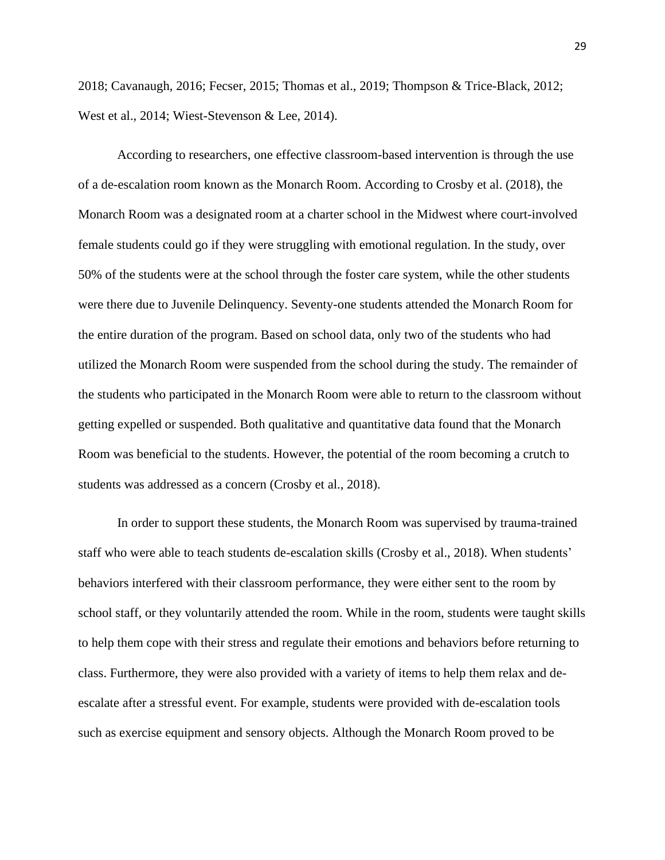2018; Cavanaugh, 2016; Fecser, 2015; Thomas et al., 2019; Thompson & Trice-Black, 2012; West et al., 2014; Wiest-Stevenson & Lee, 2014).

According to researchers, one effective classroom-based intervention is through the use of a de-escalation room known as the Monarch Room. According to Crosby et al. (2018), the Monarch Room was a designated room at a charter school in the Midwest where court-involved female students could go if they were struggling with emotional regulation. In the study, over 50% of the students were at the school through the foster care system, while the other students were there due to Juvenile Delinquency. Seventy-one students attended the Monarch Room for the entire duration of the program. Based on school data, only two of the students who had utilized the Monarch Room were suspended from the school during the study. The remainder of the students who participated in the Monarch Room were able to return to the classroom without getting expelled or suspended. Both qualitative and quantitative data found that the Monarch Room was beneficial to the students. However, the potential of the room becoming a crutch to students was addressed as a concern (Crosby et al., 2018).

In order to support these students, the Monarch Room was supervised by trauma-trained staff who were able to teach students de-escalation skills (Crosby et al., 2018). When students' behaviors interfered with their classroom performance, they were either sent to the room by school staff, or they voluntarily attended the room. While in the room, students were taught skills to help them cope with their stress and regulate their emotions and behaviors before returning to class. Furthermore, they were also provided with a variety of items to help them relax and deescalate after a stressful event. For example, students were provided with de-escalation tools such as exercise equipment and sensory objects. Although the Monarch Room proved to be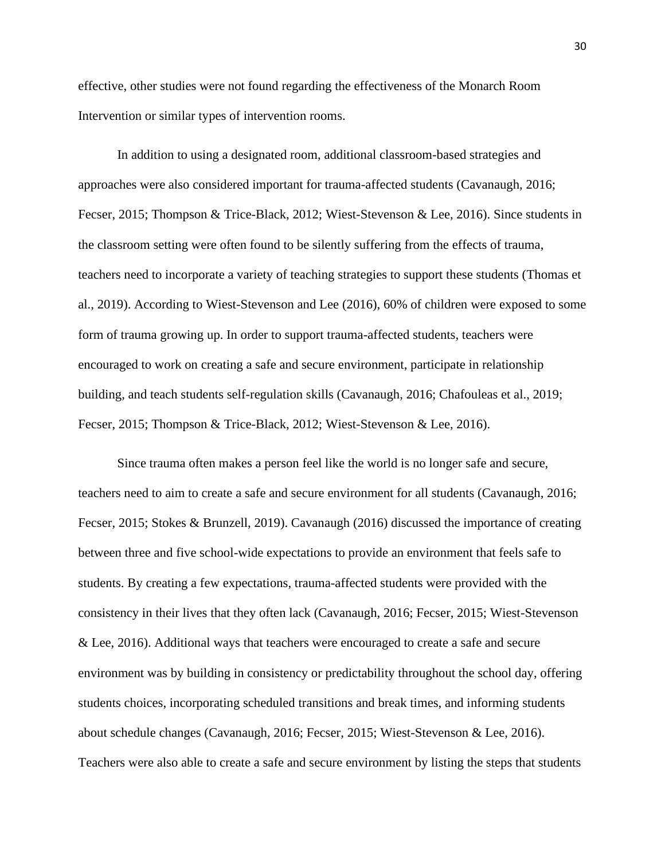effective, other studies were not found regarding the effectiveness of the Monarch Room Intervention or similar types of intervention rooms.

In addition to using a designated room, additional classroom-based strategies and approaches were also considered important for trauma-affected students (Cavanaugh, 2016; Fecser, 2015; Thompson & Trice-Black, 2012; Wiest-Stevenson & Lee, 2016). Since students in the classroom setting were often found to be silently suffering from the effects of trauma, teachers need to incorporate a variety of teaching strategies to support these students (Thomas et al., 2019). According to Wiest-Stevenson and Lee (2016), 60% of children were exposed to some form of trauma growing up. In order to support trauma-affected students, teachers were encouraged to work on creating a safe and secure environment, participate in relationship building, and teach students self-regulation skills (Cavanaugh, 2016; Chafouleas et al., 2019; Fecser, 2015; Thompson & Trice-Black, 2012; Wiest-Stevenson & Lee, 2016).

Since trauma often makes a person feel like the world is no longer safe and secure, teachers need to aim to create a safe and secure environment for all students (Cavanaugh, 2016; Fecser, 2015; Stokes & Brunzell, 2019). Cavanaugh (2016) discussed the importance of creating between three and five school-wide expectations to provide an environment that feels safe to students. By creating a few expectations, trauma-affected students were provided with the consistency in their lives that they often lack (Cavanaugh, 2016; Fecser, 2015; Wiest-Stevenson & Lee, 2016). Additional ways that teachers were encouraged to create a safe and secure environment was by building in consistency or predictability throughout the school day, offering students choices, incorporating scheduled transitions and break times, and informing students about schedule changes (Cavanaugh, 2016; Fecser, 2015; Wiest-Stevenson & Lee, 2016). Teachers were also able to create a safe and secure environment by listing the steps that students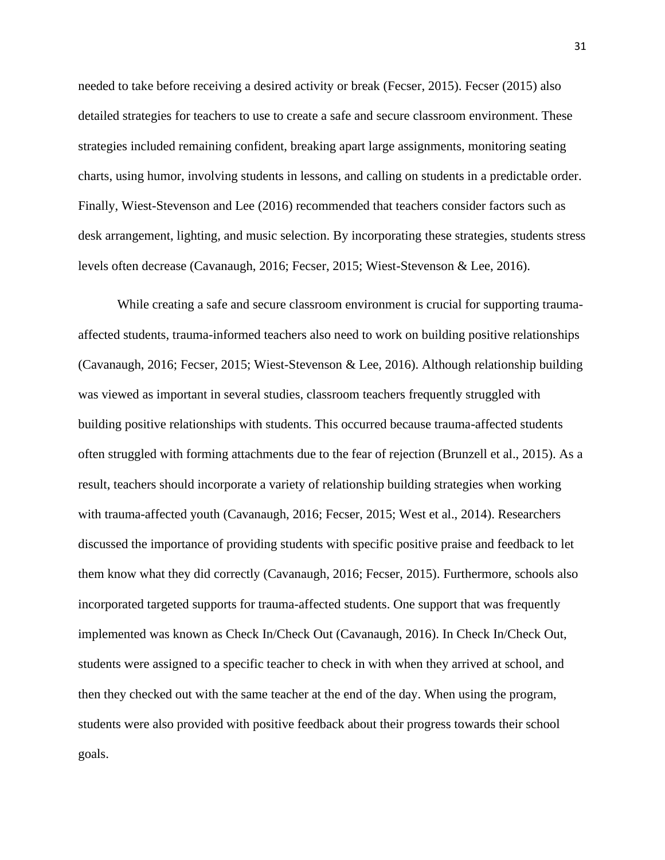needed to take before receiving a desired activity or break (Fecser, 2015). Fecser (2015) also detailed strategies for teachers to use to create a safe and secure classroom environment. These strategies included remaining confident, breaking apart large assignments, monitoring seating charts, using humor, involving students in lessons, and calling on students in a predictable order. Finally, Wiest-Stevenson and Lee (2016) recommended that teachers consider factors such as desk arrangement, lighting, and music selection. By incorporating these strategies, students stress levels often decrease (Cavanaugh, 2016; Fecser, 2015; Wiest-Stevenson & Lee, 2016).

While creating a safe and secure classroom environment is crucial for supporting traumaaffected students, trauma-informed teachers also need to work on building positive relationships (Cavanaugh, 2016; Fecser, 2015; Wiest-Stevenson & Lee, 2016). Although relationship building was viewed as important in several studies, classroom teachers frequently struggled with building positive relationships with students. This occurred because trauma-affected students often struggled with forming attachments due to the fear of rejection (Brunzell et al., 2015). As a result, teachers should incorporate a variety of relationship building strategies when working with trauma-affected youth (Cavanaugh, 2016; Fecser, 2015; West et al., 2014). Researchers discussed the importance of providing students with specific positive praise and feedback to let them know what they did correctly (Cavanaugh, 2016; Fecser, 2015). Furthermore, schools also incorporated targeted supports for trauma-affected students. One support that was frequently implemented was known as Check In/Check Out (Cavanaugh, 2016). In Check In/Check Out, students were assigned to a specific teacher to check in with when they arrived at school, and then they checked out with the same teacher at the end of the day. When using the program, students were also provided with positive feedback about their progress towards their school goals.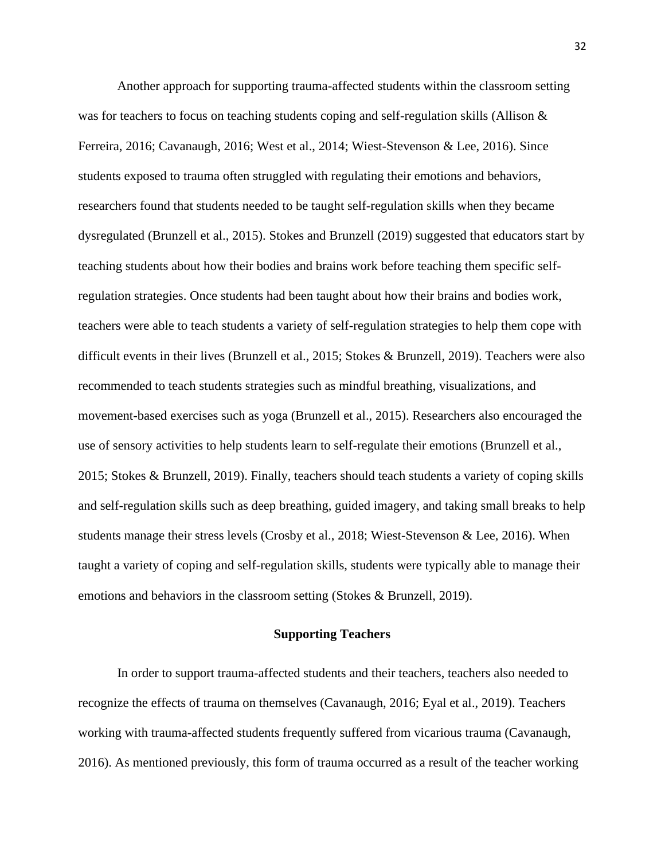Another approach for supporting trauma-affected students within the classroom setting was for teachers to focus on teaching students coping and self-regulation skills (Allison & Ferreira, 2016; Cavanaugh, 2016; West et al., 2014; Wiest-Stevenson & Lee, 2016). Since students exposed to trauma often struggled with regulating their emotions and behaviors, researchers found that students needed to be taught self-regulation skills when they became dysregulated (Brunzell et al., 2015). Stokes and Brunzell (2019) suggested that educators start by teaching students about how their bodies and brains work before teaching them specific selfregulation strategies. Once students had been taught about how their brains and bodies work, teachers were able to teach students a variety of self-regulation strategies to help them cope with difficult events in their lives (Brunzell et al., 2015; Stokes & Brunzell, 2019). Teachers were also recommended to teach students strategies such as mindful breathing, visualizations, and movement-based exercises such as yoga (Brunzell et al., 2015). Researchers also encouraged the use of sensory activities to help students learn to self-regulate their emotions (Brunzell et al., 2015; Stokes & Brunzell, 2019). Finally, teachers should teach students a variety of coping skills and self-regulation skills such as deep breathing, guided imagery, and taking small breaks to help students manage their stress levels (Crosby et al., 2018; Wiest-Stevenson & Lee, 2016). When taught a variety of coping and self-regulation skills, students were typically able to manage their emotions and behaviors in the classroom setting (Stokes & Brunzell, 2019).

#### **Supporting Teachers**

In order to support trauma-affected students and their teachers, teachers also needed to recognize the effects of trauma on themselves (Cavanaugh, 2016; Eyal et al., 2019). Teachers working with trauma-affected students frequently suffered from vicarious trauma (Cavanaugh, 2016). As mentioned previously, this form of trauma occurred as a result of the teacher working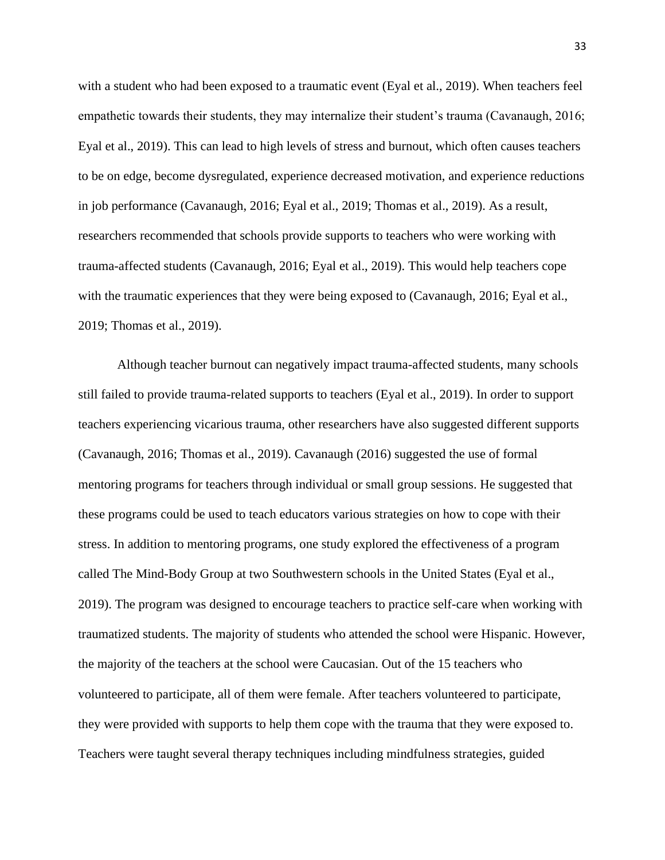with a student who had been exposed to a traumatic event (Eyal et al., 2019). When teachers feel empathetic towards their students, they may internalize their student's trauma (Cavanaugh, 2016; Eyal et al., 2019). This can lead to high levels of stress and burnout, which often causes teachers to be on edge, become dysregulated, experience decreased motivation, and experience reductions in job performance (Cavanaugh, 2016; Eyal et al., 2019; Thomas et al., 2019). As a result, researchers recommended that schools provide supports to teachers who were working with trauma-affected students (Cavanaugh, 2016; Eyal et al., 2019). This would help teachers cope with the traumatic experiences that they were being exposed to (Cavanaugh, 2016; Eyal et al., 2019; Thomas et al., 2019).

Although teacher burnout can negatively impact trauma-affected students, many schools still failed to provide trauma-related supports to teachers (Eyal et al., 2019). In order to support teachers experiencing vicarious trauma, other researchers have also suggested different supports (Cavanaugh, 2016; Thomas et al., 2019). Cavanaugh (2016) suggested the use of formal mentoring programs for teachers through individual or small group sessions. He suggested that these programs could be used to teach educators various strategies on how to cope with their stress. In addition to mentoring programs, one study explored the effectiveness of a program called The Mind-Body Group at two Southwestern schools in the United States (Eyal et al., 2019). The program was designed to encourage teachers to practice self-care when working with traumatized students. The majority of students who attended the school were Hispanic. However, the majority of the teachers at the school were Caucasian. Out of the 15 teachers who volunteered to participate, all of them were female. After teachers volunteered to participate, they were provided with supports to help them cope with the trauma that they were exposed to. Teachers were taught several therapy techniques including mindfulness strategies, guided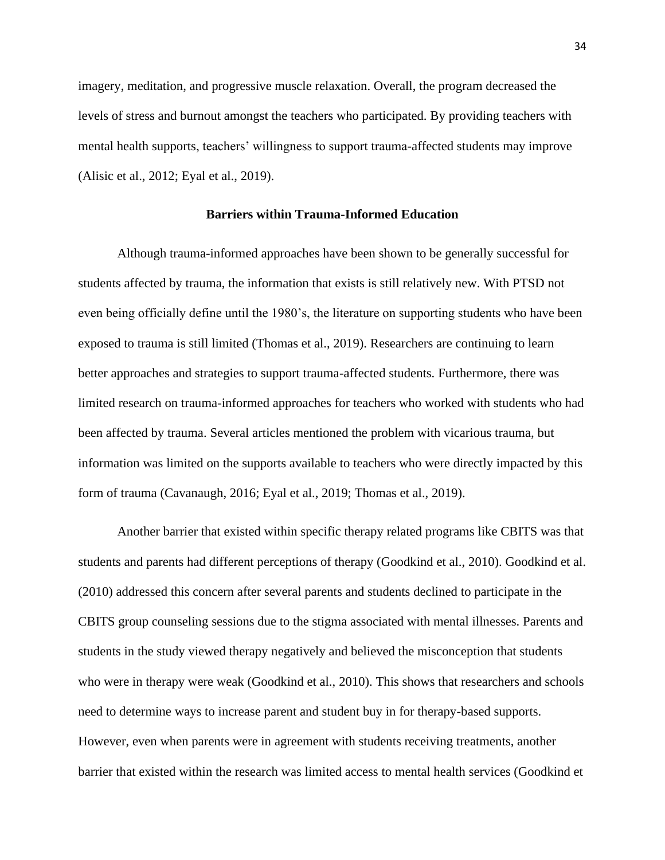imagery, meditation, and progressive muscle relaxation. Overall, the program decreased the levels of stress and burnout amongst the teachers who participated. By providing teachers with mental health supports, teachers' willingness to support trauma-affected students may improve (Alisic et al., 2012; Eyal et al., 2019).

### **Barriers within Trauma-Informed Education**

Although trauma-informed approaches have been shown to be generally successful for students affected by trauma, the information that exists is still relatively new. With PTSD not even being officially define until the 1980's, the literature on supporting students who have been exposed to trauma is still limited (Thomas et al., 2019). Researchers are continuing to learn better approaches and strategies to support trauma-affected students. Furthermore, there was limited research on trauma-informed approaches for teachers who worked with students who had been affected by trauma. Several articles mentioned the problem with vicarious trauma, but information was limited on the supports available to teachers who were directly impacted by this form of trauma (Cavanaugh, 2016; Eyal et al., 2019; Thomas et al., 2019).

Another barrier that existed within specific therapy related programs like CBITS was that students and parents had different perceptions of therapy (Goodkind et al., 2010). Goodkind et al. (2010) addressed this concern after several parents and students declined to participate in the CBITS group counseling sessions due to the stigma associated with mental illnesses. Parents and students in the study viewed therapy negatively and believed the misconception that students who were in therapy were weak (Goodkind et al., 2010). This shows that researchers and schools need to determine ways to increase parent and student buy in for therapy-based supports. However, even when parents were in agreement with students receiving treatments, another barrier that existed within the research was limited access to mental health services (Goodkind et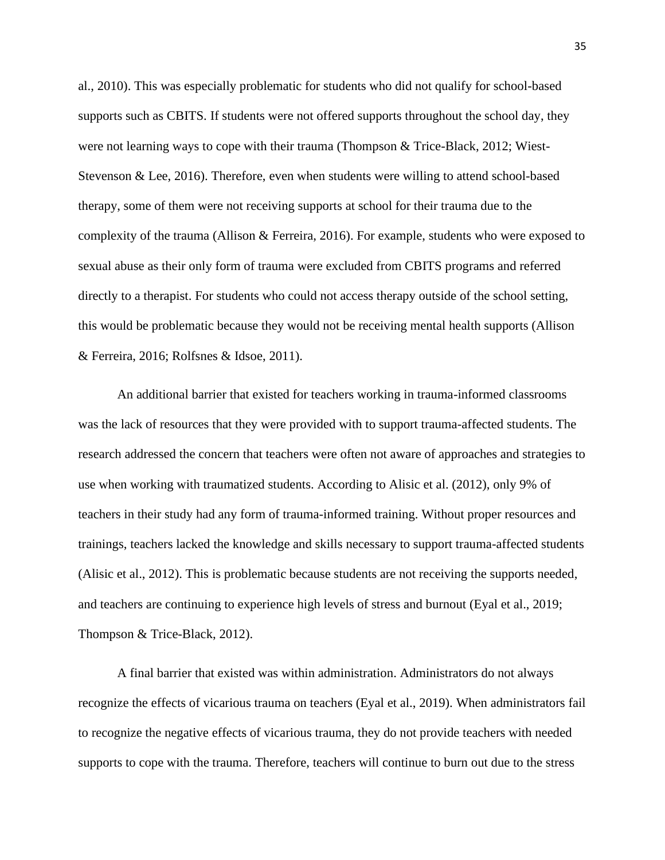al., 2010). This was especially problematic for students who did not qualify for school-based supports such as CBITS. If students were not offered supports throughout the school day, they were not learning ways to cope with their trauma (Thompson & Trice-Black, 2012; Wiest-Stevenson & Lee, 2016). Therefore, even when students were willing to attend school-based therapy, some of them were not receiving supports at school for their trauma due to the complexity of the trauma (Allison & Ferreira, 2016). For example, students who were exposed to sexual abuse as their only form of trauma were excluded from CBITS programs and referred directly to a therapist. For students who could not access therapy outside of the school setting, this would be problematic because they would not be receiving mental health supports (Allison & Ferreira, 2016; Rolfsnes & Idsoe, 2011).

An additional barrier that existed for teachers working in trauma-informed classrooms was the lack of resources that they were provided with to support trauma-affected students. The research addressed the concern that teachers were often not aware of approaches and strategies to use when working with traumatized students. According to Alisic et al. (2012), only 9% of teachers in their study had any form of trauma-informed training. Without proper resources and trainings, teachers lacked the knowledge and skills necessary to support trauma-affected students (Alisic et al., 2012). This is problematic because students are not receiving the supports needed, and teachers are continuing to experience high levels of stress and burnout (Eyal et al., 2019; Thompson & Trice-Black, 2012).

A final barrier that existed was within administration. Administrators do not always recognize the effects of vicarious trauma on teachers (Eyal et al., 2019). When administrators fail to recognize the negative effects of vicarious trauma, they do not provide teachers with needed supports to cope with the trauma. Therefore, teachers will continue to burn out due to the stress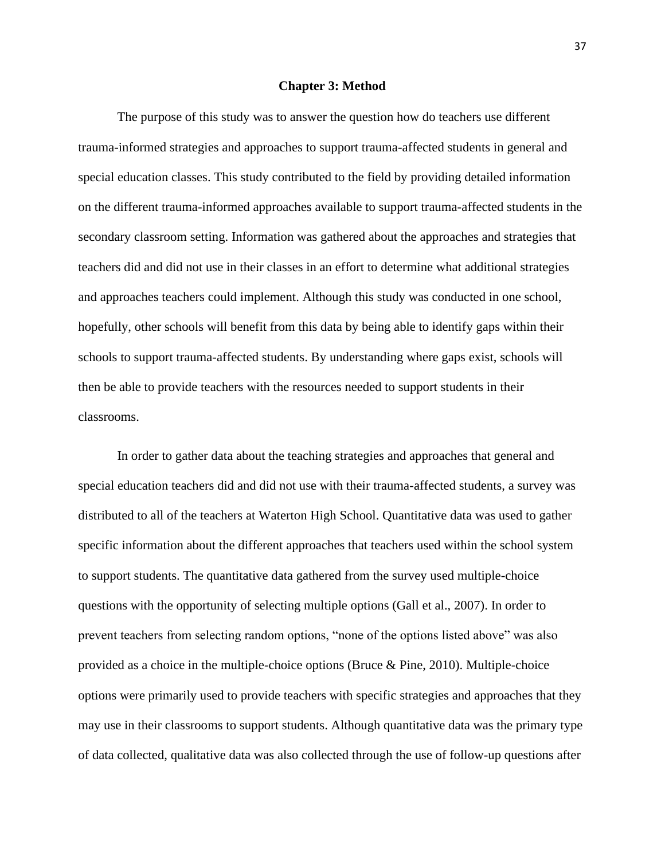#### **Chapter 3: Method**

The purpose of this study was to answer the question how do teachers use different trauma-informed strategies and approaches to support trauma-affected students in general and special education classes. This study contributed to the field by providing detailed information on the different trauma-informed approaches available to support trauma-affected students in the secondary classroom setting. Information was gathered about the approaches and strategies that teachers did and did not use in their classes in an effort to determine what additional strategies and approaches teachers could implement. Although this study was conducted in one school, hopefully, other schools will benefit from this data by being able to identify gaps within their schools to support trauma-affected students. By understanding where gaps exist, schools will then be able to provide teachers with the resources needed to support students in their classrooms.

In order to gather data about the teaching strategies and approaches that general and special education teachers did and did not use with their trauma-affected students, a survey was distributed to all of the teachers at Waterton High School. Quantitative data was used to gather specific information about the different approaches that teachers used within the school system to support students. The quantitative data gathered from the survey used multiple-choice questions with the opportunity of selecting multiple options (Gall et al., 2007). In order to prevent teachers from selecting random options, "none of the options listed above" was also provided as a choice in the multiple-choice options (Bruce  $\&$  Pine, 2010). Multiple-choice options were primarily used to provide teachers with specific strategies and approaches that they may use in their classrooms to support students. Although quantitative data was the primary type of data collected, qualitative data was also collected through the use of follow-up questions after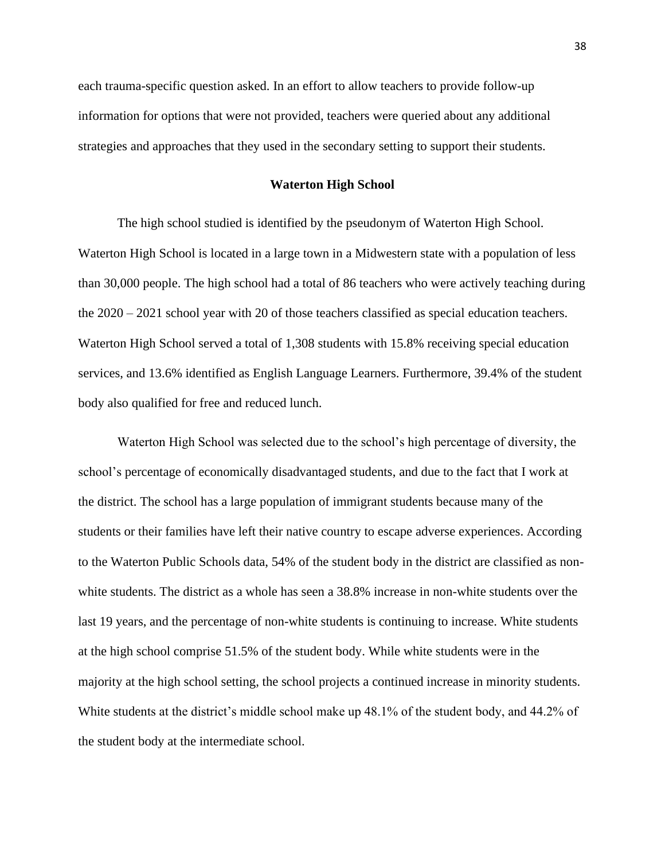each trauma-specific question asked. In an effort to allow teachers to provide follow-up information for options that were not provided, teachers were queried about any additional strategies and approaches that they used in the secondary setting to support their students.

# **Waterton High School**

The high school studied is identified by the pseudonym of Waterton High School. Waterton High School is located in a large town in a Midwestern state with a population of less than 30,000 people. The high school had a total of 86 teachers who were actively teaching during the 2020 – 2021 school year with 20 of those teachers classified as special education teachers. Waterton High School served a total of 1,308 students with 15.8% receiving special education services, and 13.6% identified as English Language Learners. Furthermore, 39.4% of the student body also qualified for free and reduced lunch.

Waterton High School was selected due to the school's high percentage of diversity, the school's percentage of economically disadvantaged students, and due to the fact that I work at the district. The school has a large population of immigrant students because many of the students or their families have left their native country to escape adverse experiences. According to the Waterton Public Schools data, 54% of the student body in the district are classified as nonwhite students. The district as a whole has seen a 38.8% increase in non-white students over the last 19 years, and the percentage of non-white students is continuing to increase. White students at the high school comprise 51.5% of the student body. While white students were in the majority at the high school setting, the school projects a continued increase in minority students. White students at the district's middle school make up 48.1% of the student body, and 44.2% of the student body at the intermediate school.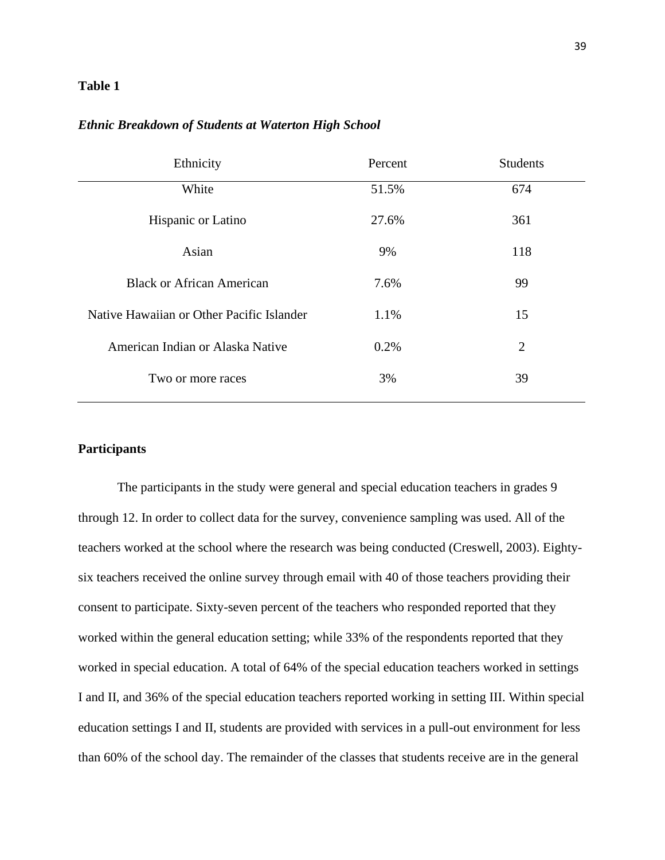### **Table 1**

#### *Ethnic Breakdown of Students at Waterton High School*

| Ethnicity                                 | Percent | <b>Students</b> |
|-------------------------------------------|---------|-----------------|
| White                                     | 51.5%   | 674             |
| Hispanic or Latino                        | 27.6%   | 361             |
| Asian                                     | 9%      | 118             |
| <b>Black or African American</b>          | 7.6%    | 99              |
| Native Hawaiian or Other Pacific Islander | 1.1%    | 15              |
| American Indian or Alaska Native          | 0.2%    | 2               |
| Two or more races                         | 3%      | 39              |
|                                           |         |                 |

### **Participants**

The participants in the study were general and special education teachers in grades 9 through 12. In order to collect data for the survey, convenience sampling was used. All of the teachers worked at the school where the research was being conducted (Creswell, 2003). Eightysix teachers received the online survey through email with 40 of those teachers providing their consent to participate. Sixty-seven percent of the teachers who responded reported that they worked within the general education setting; while 33% of the respondents reported that they worked in special education. A total of 64% of the special education teachers worked in settings I and II, and 36% of the special education teachers reported working in setting III. Within special education settings I and II, students are provided with services in a pull-out environment for less than 60% of the school day. The remainder of the classes that students receive are in the general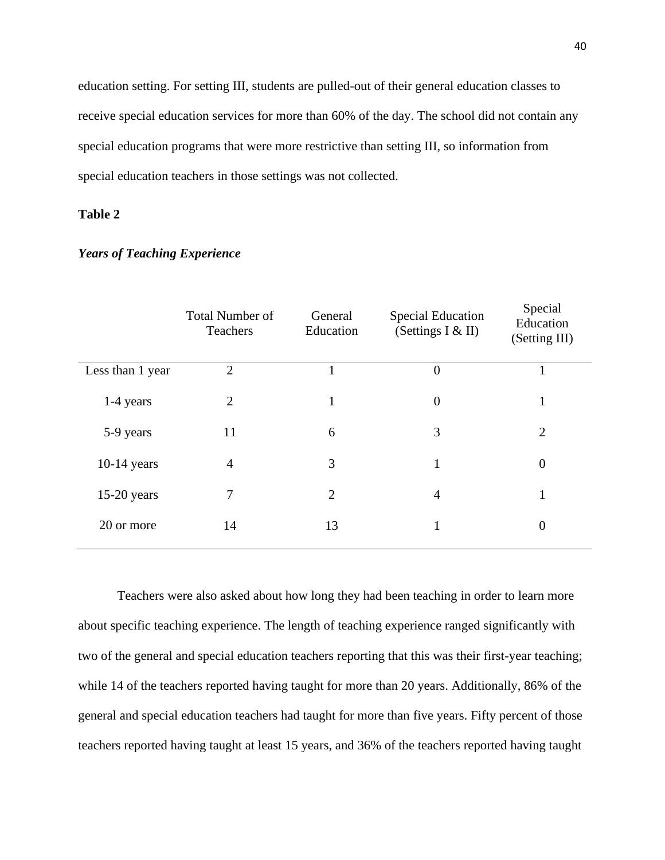education setting. For setting III, students are pulled-out of their general education classes to receive special education services for more than 60% of the day. The school did not contain any special education programs that were more restrictive than setting III, so information from special education teachers in those settings was not collected.

# **Table 2**

|                  | <b>Total Number of</b><br>Teachers | General<br>Education | <b>Special Education</b><br>(Settings I & II) | Special<br>Education<br>(Setting III) |
|------------------|------------------------------------|----------------------|-----------------------------------------------|---------------------------------------|
| Less than 1 year | $\overline{2}$                     |                      | $\theta$                                      |                                       |
| 1-4 years        | $\overline{2}$                     | 1                    | $\overline{0}$                                | 1                                     |
| 5-9 years        | 11                                 | 6                    | 3                                             | $\overline{2}$                        |
| $10-14$ years    | $\overline{4}$                     | 3                    | 1                                             | $\theta$                              |
| $15-20$ years    | 7                                  | $\overline{2}$       | $\overline{4}$                                | $\mathbf{I}$                          |
| 20 or more       | 14                                 | 13                   |                                               | $\theta$                              |
|                  |                                    |                      |                                               |                                       |

#### *Years of Teaching Experience*

years

Teachers were also asked about how long they had been teaching in order to learn more about specific teaching experience. The length of teaching experience ranged significantly with two of the general and special education teachers reporting that this was their first-year teaching; while 14 of the teachers reported having taught for more than 20 years. Additionally, 86% of the general and special education teachers had taught for more than five years. Fifty percent of those teachers reported having taught at least 15 years, and 36% of the teachers reported having taught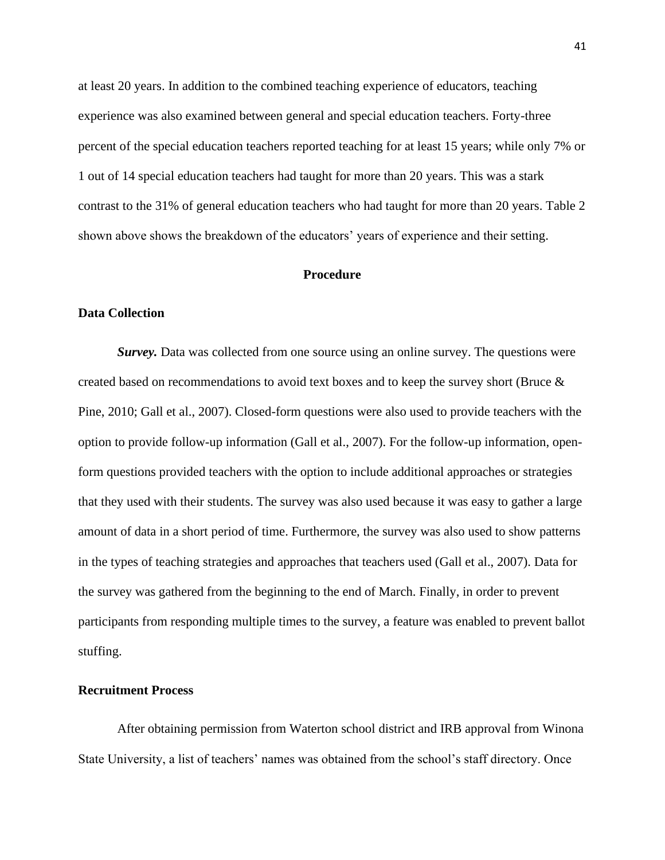at least 20 years. In addition to the combined teaching experience of educators, teaching experience was also examined between general and special education teachers. Forty-three percent of the special education teachers reported teaching for at least 15 years; while only 7% or 1 out of 14 special education teachers had taught for more than 20 years. This was a stark contrast to the 31% of general education teachers who had taught for more than 20 years. Table 2 shown above shows the breakdown of the educators' years of experience and their setting.

#### **Procedure**

#### **Data Collection**

*Survey.* Data was collected from one source using an online survey. The questions were created based on recommendations to avoid text boxes and to keep the survey short (Bruce & Pine, 2010; Gall et al., 2007). Closed-form questions were also used to provide teachers with the option to provide follow-up information (Gall et al., 2007). For the follow-up information, openform questions provided teachers with the option to include additional approaches or strategies that they used with their students. The survey was also used because it was easy to gather a large amount of data in a short period of time. Furthermore, the survey was also used to show patterns in the types of teaching strategies and approaches that teachers used (Gall et al., 2007). Data for the survey was gathered from the beginning to the end of March. Finally, in order to prevent participants from responding multiple times to the survey, a feature was enabled to prevent ballot stuffing.

#### **Recruitment Process**

After obtaining permission from Waterton school district and IRB approval from Winona State University, a list of teachers' names was obtained from the school's staff directory. Once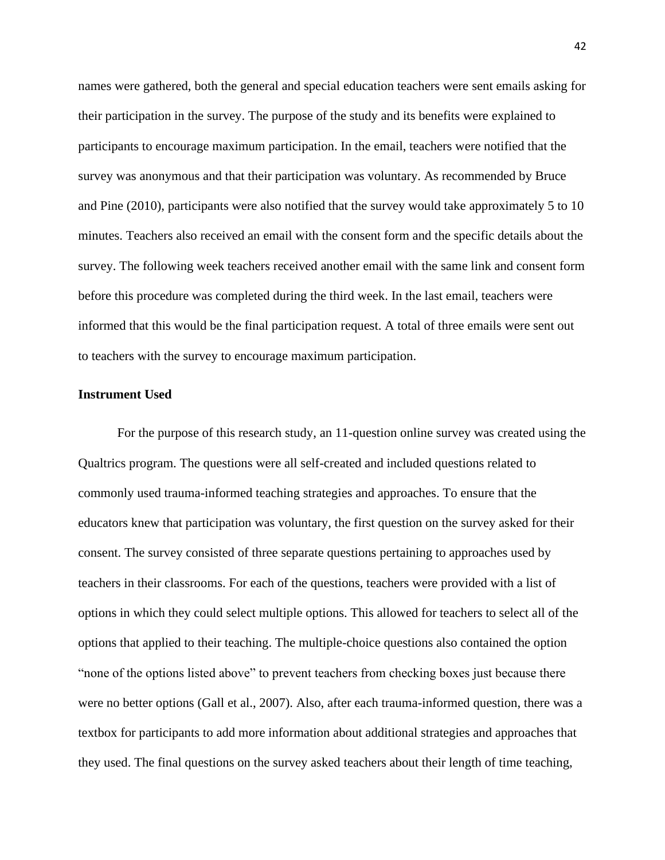names were gathered, both the general and special education teachers were sent emails asking for their participation in the survey. The purpose of the study and its benefits were explained to participants to encourage maximum participation. In the email, teachers were notified that the survey was anonymous and that their participation was voluntary. As recommended by Bruce and Pine (2010), participants were also notified that the survey would take approximately 5 to 10 minutes. Teachers also received an email with the consent form and the specific details about the survey. The following week teachers received another email with the same link and consent form before this procedure was completed during the third week. In the last email, teachers were informed that this would be the final participation request. A total of three emails were sent out to teachers with the survey to encourage maximum participation.

# **Instrument Used**

For the purpose of this research study, an 11-question online survey was created using the Qualtrics program. The questions were all self-created and included questions related to commonly used trauma-informed teaching strategies and approaches. To ensure that the educators knew that participation was voluntary, the first question on the survey asked for their consent. The survey consisted of three separate questions pertaining to approaches used by teachers in their classrooms. For each of the questions, teachers were provided with a list of options in which they could select multiple options. This allowed for teachers to select all of the options that applied to their teaching. The multiple-choice questions also contained the option "none of the options listed above" to prevent teachers from checking boxes just because there were no better options (Gall et al., 2007). Also, after each trauma-informed question, there was a textbox for participants to add more information about additional strategies and approaches that they used. The final questions on the survey asked teachers about their length of time teaching,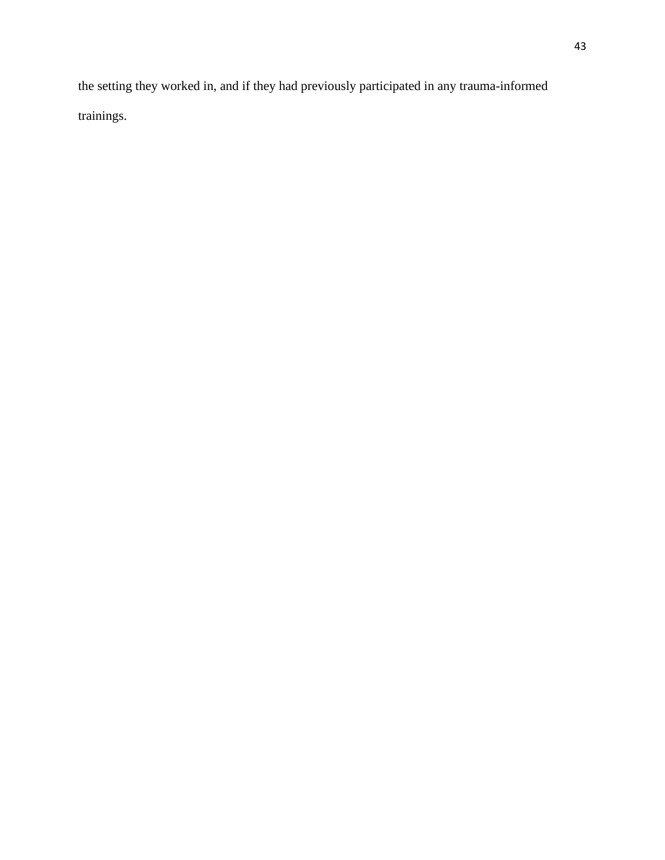the setting they worked in, and if they had previously participated in any trauma-informed trainings.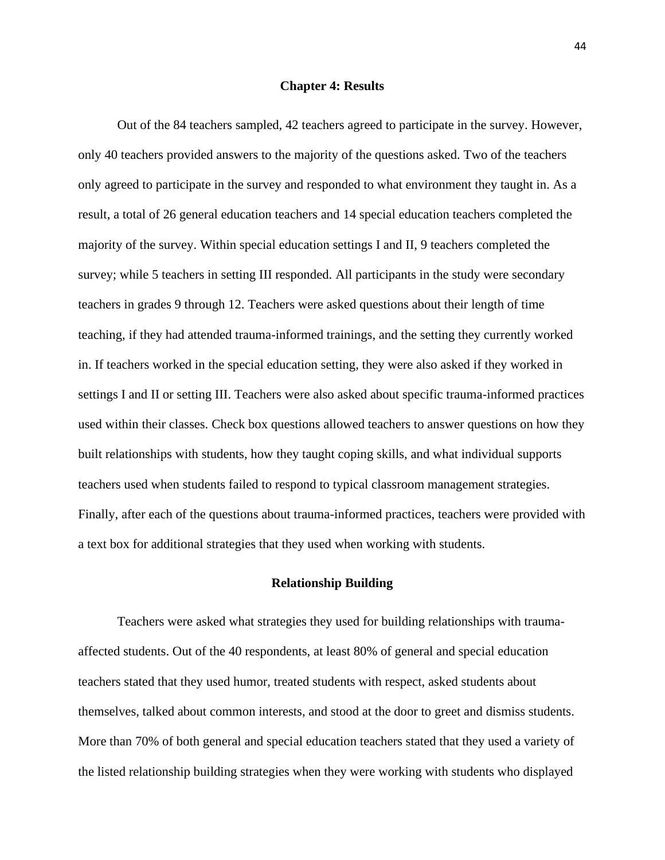#### **Chapter 4: Results**

Out of the 84 teachers sampled, 42 teachers agreed to participate in the survey. However, only 40 teachers provided answers to the majority of the questions asked. Two of the teachers only agreed to participate in the survey and responded to what environment they taught in. As a result, a total of 26 general education teachers and 14 special education teachers completed the majority of the survey. Within special education settings I and II, 9 teachers completed the survey; while 5 teachers in setting III responded. All participants in the study were secondary teachers in grades 9 through 12. Teachers were asked questions about their length of time teaching, if they had attended trauma-informed trainings, and the setting they currently worked in. If teachers worked in the special education setting, they were also asked if they worked in settings I and II or setting III. Teachers were also asked about specific trauma-informed practices used within their classes. Check box questions allowed teachers to answer questions on how they built relationships with students, how they taught coping skills, and what individual supports teachers used when students failed to respond to typical classroom management strategies. Finally, after each of the questions about trauma-informed practices, teachers were provided with a text box for additional strategies that they used when working with students.

#### **Relationship Building**

Teachers were asked what strategies they used for building relationships with traumaaffected students. Out of the 40 respondents, at least 80% of general and special education teachers stated that they used humor, treated students with respect, asked students about themselves, talked about common interests, and stood at the door to greet and dismiss students. More than 70% of both general and special education teachers stated that they used a variety of the listed relationship building strategies when they were working with students who displayed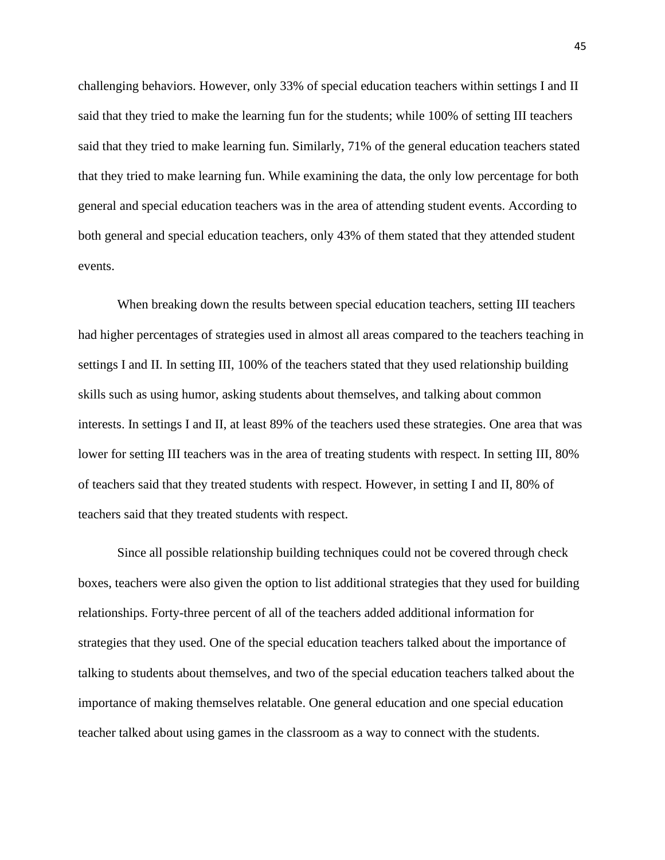challenging behaviors. However, only 33% of special education teachers within settings I and II said that they tried to make the learning fun for the students; while 100% of setting III teachers said that they tried to make learning fun. Similarly, 71% of the general education teachers stated that they tried to make learning fun. While examining the data, the only low percentage for both general and special education teachers was in the area of attending student events. According to both general and special education teachers, only 43% of them stated that they attended student events.

When breaking down the results between special education teachers, setting III teachers had higher percentages of strategies used in almost all areas compared to the teachers teaching in settings I and II. In setting III, 100% of the teachers stated that they used relationship building skills such as using humor, asking students about themselves, and talking about common interests. In settings I and II, at least 89% of the teachers used these strategies. One area that was lower for setting III teachers was in the area of treating students with respect. In setting III, 80% of teachers said that they treated students with respect. However, in setting I and II, 80% of teachers said that they treated students with respect.

Since all possible relationship building techniques could not be covered through check boxes, teachers were also given the option to list additional strategies that they used for building relationships. Forty-three percent of all of the teachers added additional information for strategies that they used. One of the special education teachers talked about the importance of talking to students about themselves, and two of the special education teachers talked about the importance of making themselves relatable. One general education and one special education teacher talked about using games in the classroom as a way to connect with the students.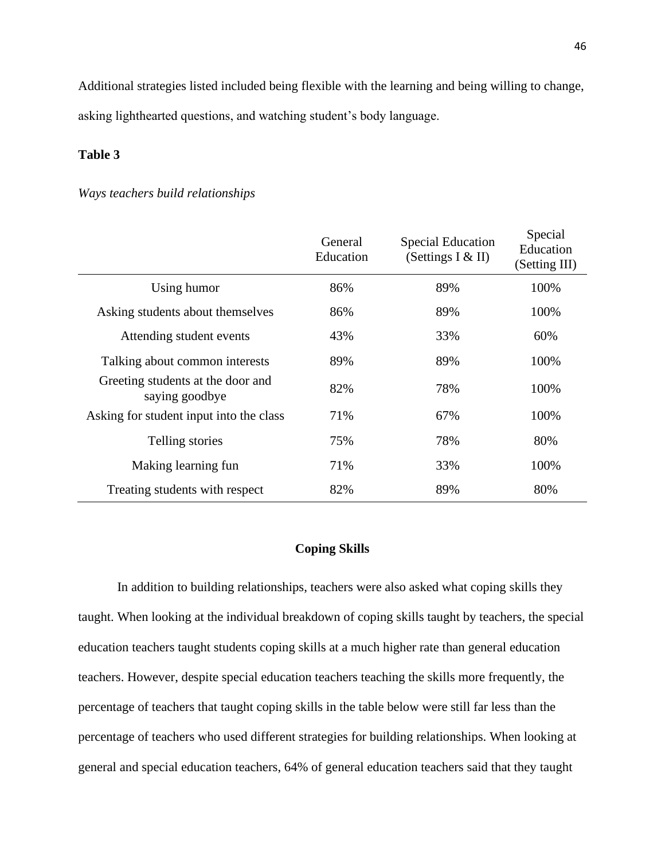Additional strategies listed included being flexible with the learning and being willing to change, asking lighthearted questions, and watching student's body language.

### **Table 3**

### *Ways teachers build relationships*

|                                                     | General<br>Education | <b>Special Education</b><br>(Settings I & II) | Special<br>Education<br>(Setting III) |
|-----------------------------------------------------|----------------------|-----------------------------------------------|---------------------------------------|
| Using humor                                         | 86%                  | 89%                                           | 100%                                  |
| Asking students about themselves                    | 86%                  | 89%                                           | 100%                                  |
| Attending student events                            | 43%                  | 33%                                           | 60%                                   |
| Talking about common interests                      | 89%                  | 89%                                           | 100%                                  |
| Greeting students at the door and<br>saying goodbye | 82%                  | 78%                                           | 100%                                  |
| Asking for student input into the class             | 71%                  | 67%                                           | 100%                                  |
| Telling stories                                     | 75%                  | 78%                                           | 80%                                   |
| Making learning fun                                 | 71%                  | 33%                                           | 100%                                  |
| Treating students with respect                      | 82%                  | 89%                                           | 80%                                   |

### **Coping Skills**

In addition to building relationships, teachers were also asked what coping skills they taught. When looking at the individual breakdown of coping skills taught by teachers, the special education teachers taught students coping skills at a much higher rate than general education teachers. However, despite special education teachers teaching the skills more frequently, the percentage of teachers that taught coping skills in the table below were still far less than the percentage of teachers who used different strategies for building relationships. When looking at general and special education teachers, 64% of general education teachers said that they taught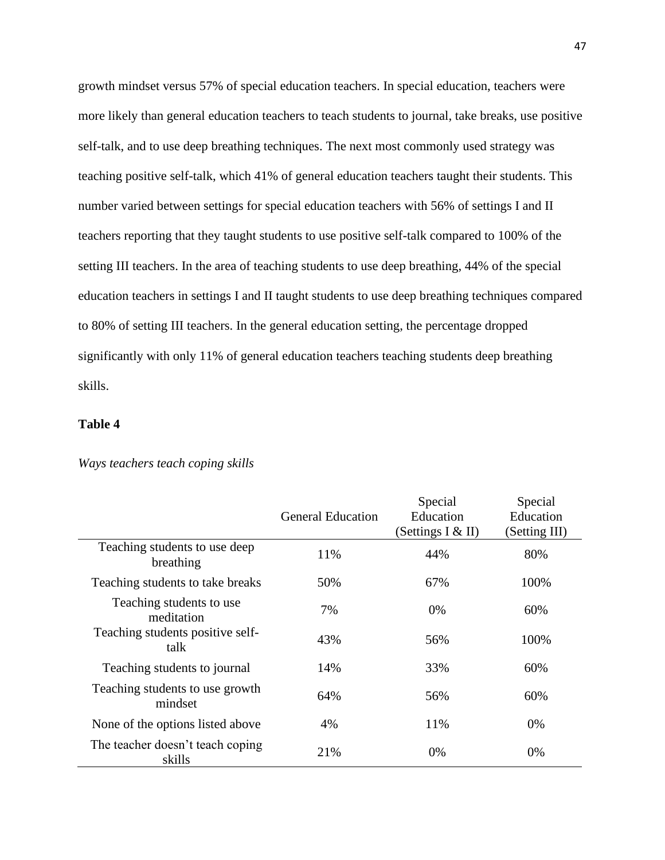growth mindset versus 57% of special education teachers. In special education, teachers were more likely than general education teachers to teach students to journal, take breaks, use positive self-talk, and to use deep breathing techniques. The next most commonly used strategy was teaching positive self-talk, which 41% of general education teachers taught their students. This number varied between settings for special education teachers with 56% of settings I and II teachers reporting that they taught students to use positive self-talk compared to 100% of the setting III teachers. In the area of teaching students to use deep breathing, 44% of the special education teachers in settings I and II taught students to use deep breathing techniques compared to 80% of setting III teachers. In the general education setting, the percentage dropped significantly with only 11% of general education teachers teaching students deep breathing skills.

### **Table 4**

|                                            |                          | Special             | Special       |
|--------------------------------------------|--------------------------|---------------------|---------------|
|                                            | <b>General Education</b> | Education           | Education     |
|                                            |                          | (Settings I $&$ II) | (Setting III) |
| Teaching students to use deep<br>breathing | 11%                      | 44%                 | 80%           |
| Teaching students to take breaks           | 50%                      | 67%                 | 100%          |
| Teaching students to use<br>meditation     | 7%                       | $0\%$               | 60%           |
| Teaching students positive self-<br>talk   | 43%                      | 56%                 | 100%          |
| Teaching students to journal               | 14%                      | 33%                 | 60%           |
| Teaching students to use growth<br>mindset | 64%                      | 56%                 | 60%           |
| None of the options listed above           | 4%                       | 11%                 | 0%            |
| The teacher doesn't teach coping<br>skills | 21%                      | 0%                  | 0%            |

#### *Ways teachers teach coping skills*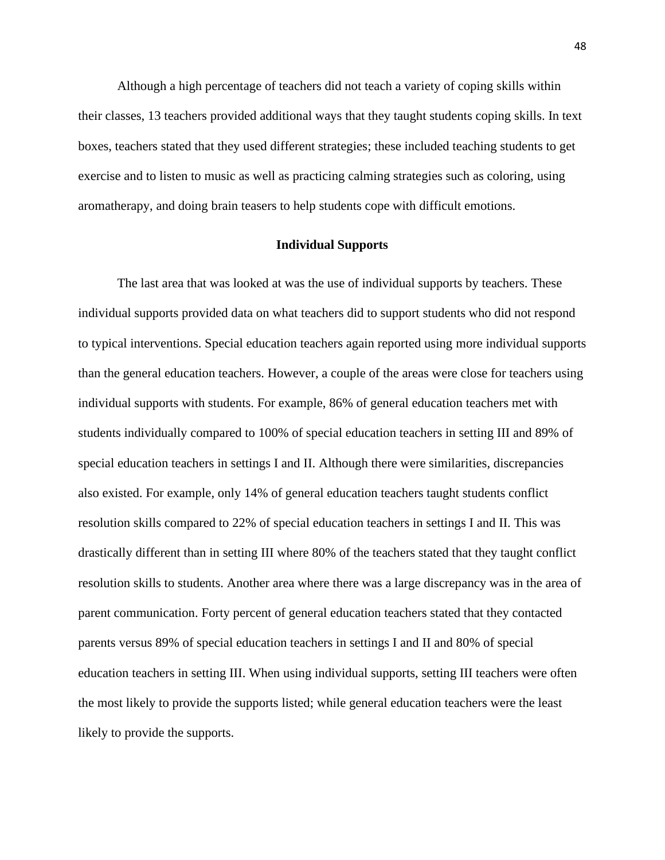Although a high percentage of teachers did not teach a variety of coping skills within their classes, 13 teachers provided additional ways that they taught students coping skills. In text boxes, teachers stated that they used different strategies; these included teaching students to get exercise and to listen to music as well as practicing calming strategies such as coloring, using aromatherapy, and doing brain teasers to help students cope with difficult emotions.

#### **Individual Supports**

The last area that was looked at was the use of individual supports by teachers. These individual supports provided data on what teachers did to support students who did not respond to typical interventions. Special education teachers again reported using more individual supports than the general education teachers. However, a couple of the areas were close for teachers using individual supports with students. For example, 86% of general education teachers met with students individually compared to 100% of special education teachers in setting III and 89% of special education teachers in settings I and II. Although there were similarities, discrepancies also existed. For example, only 14% of general education teachers taught students conflict resolution skills compared to 22% of special education teachers in settings I and II. This was drastically different than in setting III where 80% of the teachers stated that they taught conflict resolution skills to students. Another area where there was a large discrepancy was in the area of parent communication. Forty percent of general education teachers stated that they contacted parents versus 89% of special education teachers in settings I and II and 80% of special education teachers in setting III. When using individual supports, setting III teachers were often the most likely to provide the supports listed; while general education teachers were the least likely to provide the supports.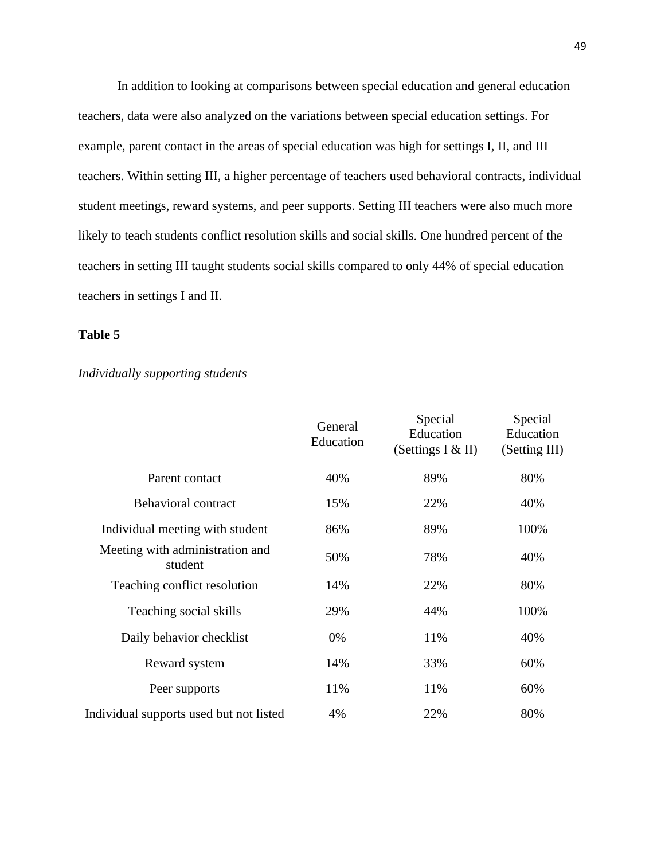In addition to looking at comparisons between special education and general education teachers, data were also analyzed on the variations between special education settings. For example, parent contact in the areas of special education was high for settings I, II, and III teachers. Within setting III, a higher percentage of teachers used behavioral contracts, individual student meetings, reward systems, and peer supports. Setting III teachers were also much more likely to teach students conflict resolution skills and social skills. One hundred percent of the teachers in setting III taught students social skills compared to only 44% of special education teachers in settings I and II.

# **Table 5**

### *Individually supporting students*

|                                            | General<br>Education | Special<br>Education<br>(Settings $I & H$ ) | Special<br>Education<br>(Setting III) |
|--------------------------------------------|----------------------|---------------------------------------------|---------------------------------------|
| Parent contact                             | 40%                  | 89%                                         | 80%                                   |
| <b>Behavioral contract</b>                 | 15%                  | 22%                                         | 40%                                   |
| Individual meeting with student            | 86%                  | 89%                                         | 100%                                  |
| Meeting with administration and<br>student | 50%                  | 78%                                         | 40%                                   |
| Teaching conflict resolution               | 14%                  | 22%                                         | 80%                                   |
| Teaching social skills                     | 29%                  | 44%                                         | 100%                                  |
| Daily behavior checklist                   | 0%                   | 11%                                         | 40%                                   |
| Reward system                              | 14%                  | 33%                                         | 60%                                   |
| Peer supports                              | 11%                  | 11%                                         | 60%                                   |
| Individual supports used but not listed    | 4%                   | 22%                                         | 80%                                   |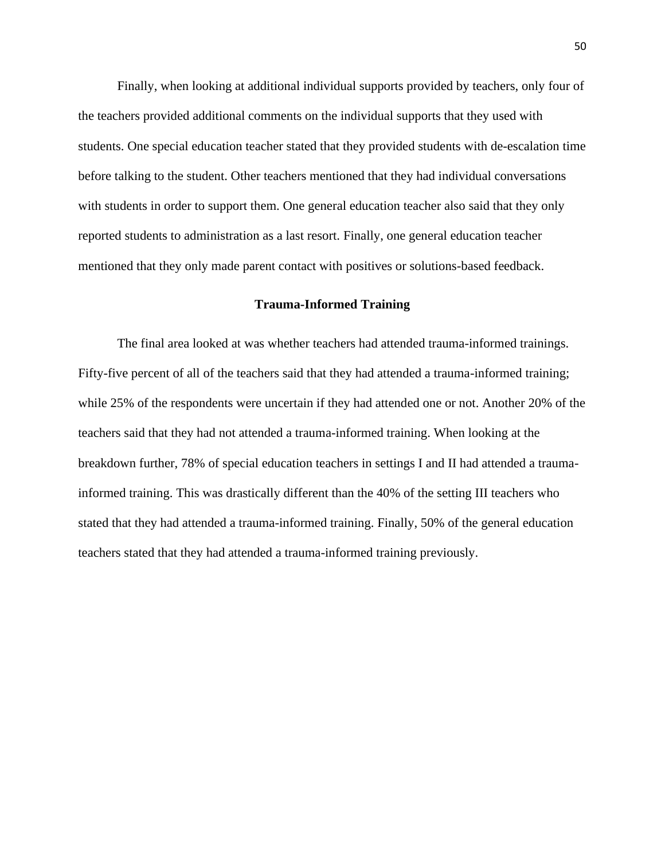Finally, when looking at additional individual supports provided by teachers, only four of the teachers provided additional comments on the individual supports that they used with students. One special education teacher stated that they provided students with de-escalation time before talking to the student. Other teachers mentioned that they had individual conversations with students in order to support them. One general education teacher also said that they only reported students to administration as a last resort. Finally, one general education teacher mentioned that they only made parent contact with positives or solutions-based feedback.

### **Trauma-Informed Training**

The final area looked at was whether teachers had attended trauma-informed trainings. Fifty-five percent of all of the teachers said that they had attended a trauma-informed training; while 25% of the respondents were uncertain if they had attended one or not. Another 20% of the teachers said that they had not attended a trauma-informed training. When looking at the breakdown further, 78% of special education teachers in settings I and II had attended a traumainformed training. This was drastically different than the 40% of the setting III teachers who stated that they had attended a trauma-informed training. Finally, 50% of the general education teachers stated that they had attended a trauma-informed training previously.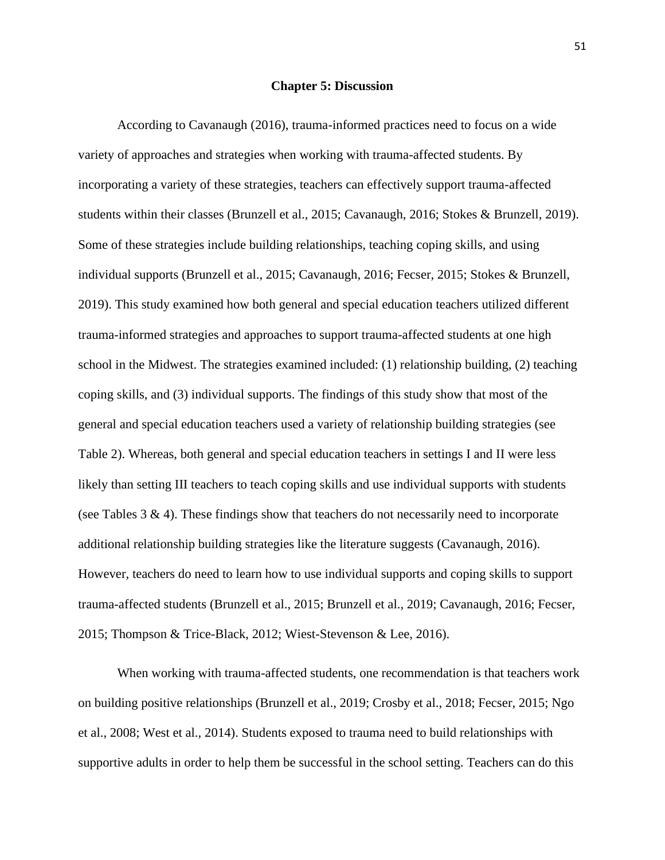#### **Chapter 5: Discussion**

According to Cavanaugh (2016), trauma-informed practices need to focus on a wide variety of approaches and strategies when working with trauma-affected students. By incorporating a variety of these strategies, teachers can effectively support trauma-affected students within their classes (Brunzell et al., 2015; Cavanaugh, 2016; Stokes & Brunzell, 2019). Some of these strategies include building relationships, teaching coping skills, and using individual supports (Brunzell et al., 2015; Cavanaugh, 2016; Fecser, 2015; Stokes & Brunzell, 2019). This study examined how both general and special education teachers utilized different trauma-informed strategies and approaches to support trauma-affected students at one high school in the Midwest. The strategies examined included: (1) relationship building, (2) teaching coping skills, and (3) individual supports. The findings of this study show that most of the general and special education teachers used a variety of relationship building strategies (see Table 2). Whereas, both general and special education teachers in settings I and II were less likely than setting III teachers to teach coping skills and use individual supports with students (see Tables  $3 \& 4$ ). These findings show that teachers do not necessarily need to incorporate additional relationship building strategies like the literature suggests (Cavanaugh, 2016). However, teachers do need to learn how to use individual supports and coping skills to support trauma-affected students (Brunzell et al., 2015; Brunzell et al., 2019; Cavanaugh, 2016; Fecser, 2015; Thompson & Trice-Black, 2012; Wiest-Stevenson & Lee, 2016).

When working with trauma-affected students, one recommendation is that teachers work on building positive relationships (Brunzell et al., 2019; Crosby et al., 2018; Fecser, 2015; Ngo et al., 2008; West et al., 2014). Students exposed to trauma need to build relationships with supportive adults in order to help them be successful in the school setting. Teachers can do this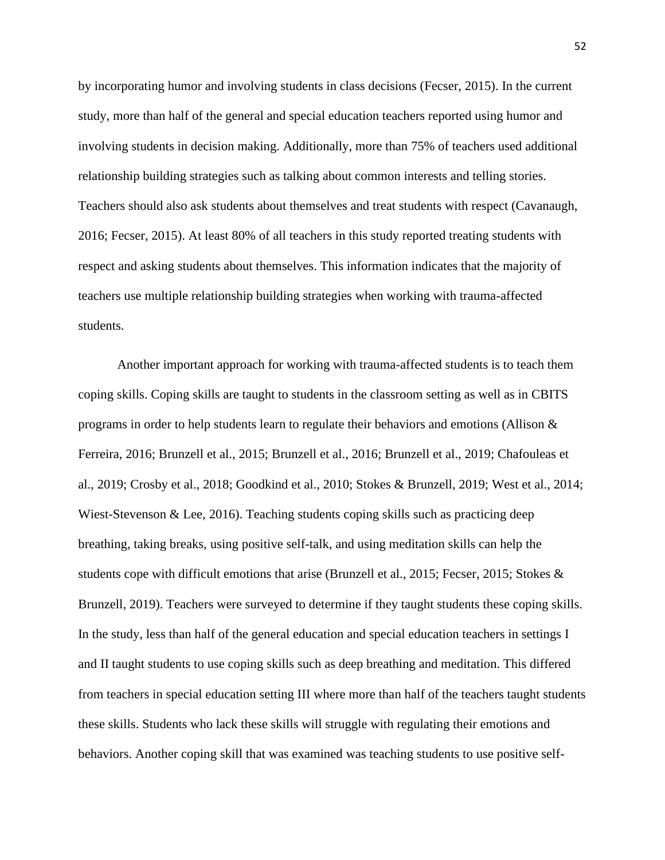by incorporating humor and involving students in class decisions (Fecser, 2015). In the current study, more than half of the general and special education teachers reported using humor and involving students in decision making. Additionally, more than 75% of teachers used additional relationship building strategies such as talking about common interests and telling stories. Teachers should also ask students about themselves and treat students with respect (Cavanaugh, 2016; Fecser, 2015). At least 80% of all teachers in this study reported treating students with respect and asking students about themselves. This information indicates that the majority of teachers use multiple relationship building strategies when working with trauma-affected students.

Another important approach for working with trauma-affected students is to teach them coping skills. Coping skills are taught to students in the classroom setting as well as in CBITS programs in order to help students learn to regulate their behaviors and emotions (Allison & Ferreira, 2016; Brunzell et al., 2015; Brunzell et al., 2016; Brunzell et al., 2019; Chafouleas et al., 2019; Crosby et al., 2018; Goodkind et al., 2010; Stokes & Brunzell, 2019; West et al., 2014; Wiest-Stevenson & Lee, 2016). Teaching students coping skills such as practicing deep breathing, taking breaks, using positive self-talk, and using meditation skills can help the students cope with difficult emotions that arise (Brunzell et al., 2015; Fecser, 2015; Stokes & Brunzell, 2019). Teachers were surveyed to determine if they taught students these coping skills. In the study, less than half of the general education and special education teachers in settings I and II taught students to use coping skills such as deep breathing and meditation. This differed from teachers in special education setting III where more than half of the teachers taught students these skills. Students who lack these skills will struggle with regulating their emotions and behaviors. Another coping skill that was examined was teaching students to use positive self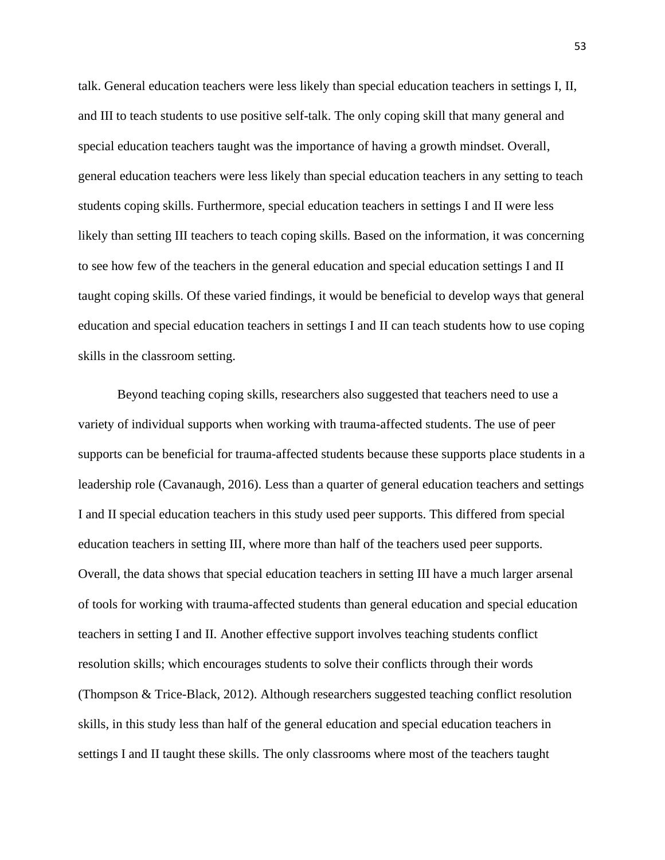talk. General education teachers were less likely than special education teachers in settings I, II, and III to teach students to use positive self-talk. The only coping skill that many general and special education teachers taught was the importance of having a growth mindset. Overall, general education teachers were less likely than special education teachers in any setting to teach students coping skills. Furthermore, special education teachers in settings I and II were less likely than setting III teachers to teach coping skills. Based on the information, it was concerning to see how few of the teachers in the general education and special education settings I and II taught coping skills. Of these varied findings, it would be beneficial to develop ways that general education and special education teachers in settings I and II can teach students how to use coping skills in the classroom setting.

Beyond teaching coping skills, researchers also suggested that teachers need to use a variety of individual supports when working with trauma-affected students. The use of peer supports can be beneficial for trauma-affected students because these supports place students in a leadership role (Cavanaugh, 2016). Less than a quarter of general education teachers and settings I and II special education teachers in this study used peer supports. This differed from special education teachers in setting III, where more than half of the teachers used peer supports. Overall, the data shows that special education teachers in setting III have a much larger arsenal of tools for working with trauma-affected students than general education and special education teachers in setting I and II. Another effective support involves teaching students conflict resolution skills; which encourages students to solve their conflicts through their words (Thompson & Trice-Black, 2012). Although researchers suggested teaching conflict resolution skills, in this study less than half of the general education and special education teachers in settings I and II taught these skills. The only classrooms where most of the teachers taught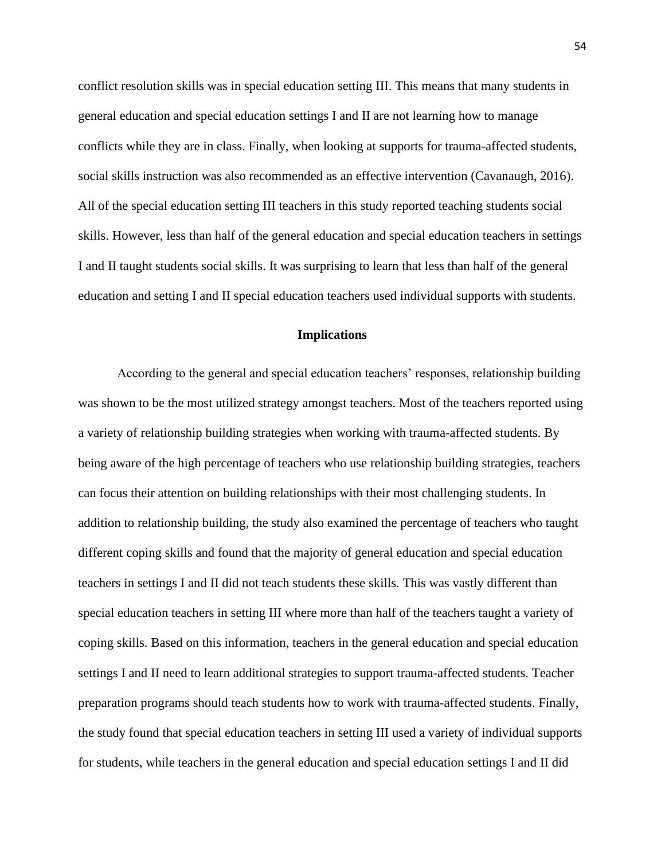conflict resolution skills was in special education setting III. This means that many students in general education and special education settings I and II are not learning how to manage conflicts while they are in class. Finally, when looking at supports for trauma-affected students, social skills instruction was also recommended as an effective intervention (Cavanaugh, 2016). All of the special education setting III teachers in this study reported teaching students social skills. However, less than half of the general education and special education teachers in settings I and II taught students social skills. It was surprising to learn that less than half of the general education and setting I and II special education teachers used individual supports with students.

# **Implications**

According to the general and special education teachers' responses, relationship building was shown to be the most utilized strategy amongst teachers. Most of the teachers reported using a variety of relationship building strategies when working with trauma-affected students. By being aware of the high percentage of teachers who use relationship building strategies, teachers can focus their attention on building relationships with their most challenging students. In addition to relationship building, the study also examined the percentage of teachers who taught different coping skills and found that the majority of general education and special education teachers in settings I and II did not teach students these skills. This was vastly different than special education teachers in setting III where more than half of the teachers taught a variety of coping skills. Based on this information, teachers in the general education and special education settings I and II need to learn additional strategies to support trauma-affected students. Teacher preparation programs should teach students how to work with trauma-affected students. Finally, the study found that special education teachers in setting III used a variety of individual supports for students, while teachers in the general education and special education settings I and II did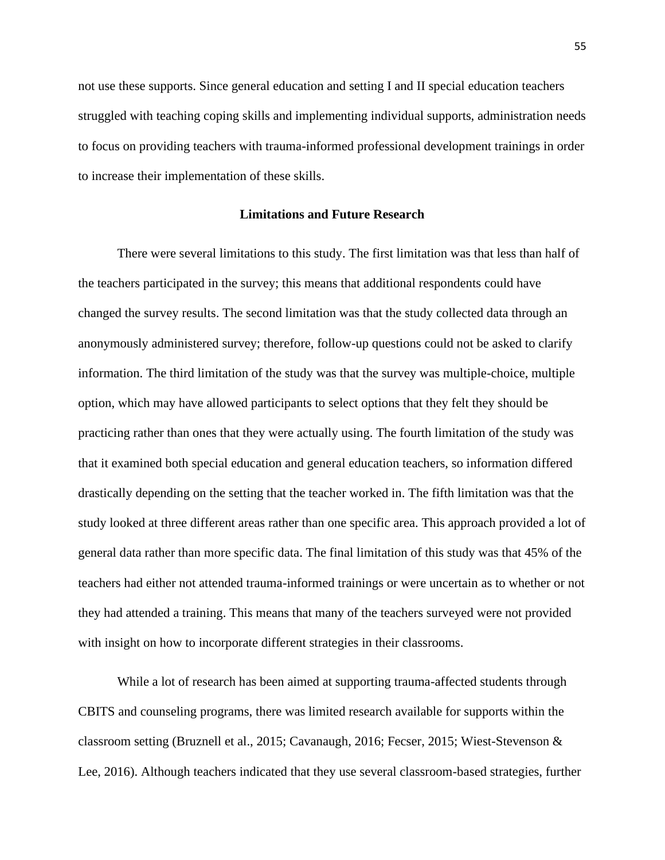not use these supports. Since general education and setting I and II special education teachers struggled with teaching coping skills and implementing individual supports, administration needs to focus on providing teachers with trauma-informed professional development trainings in order to increase their implementation of these skills.

### **Limitations and Future Research**

There were several limitations to this study. The first limitation was that less than half of the teachers participated in the survey; this means that additional respondents could have changed the survey results. The second limitation was that the study collected data through an anonymously administered survey; therefore, follow-up questions could not be asked to clarify information. The third limitation of the study was that the survey was multiple-choice, multiple option, which may have allowed participants to select options that they felt they should be practicing rather than ones that they were actually using. The fourth limitation of the study was that it examined both special education and general education teachers, so information differed drastically depending on the setting that the teacher worked in. The fifth limitation was that the study looked at three different areas rather than one specific area. This approach provided a lot of general data rather than more specific data. The final limitation of this study was that 45% of the teachers had either not attended trauma-informed trainings or were uncertain as to whether or not they had attended a training. This means that many of the teachers surveyed were not provided with insight on how to incorporate different strategies in their classrooms.

While a lot of research has been aimed at supporting trauma-affected students through CBITS and counseling programs, there was limited research available for supports within the classroom setting (Bruznell et al., 2015; Cavanaugh, 2016; Fecser, 2015; Wiest-Stevenson & Lee, 2016). Although teachers indicated that they use several classroom-based strategies, further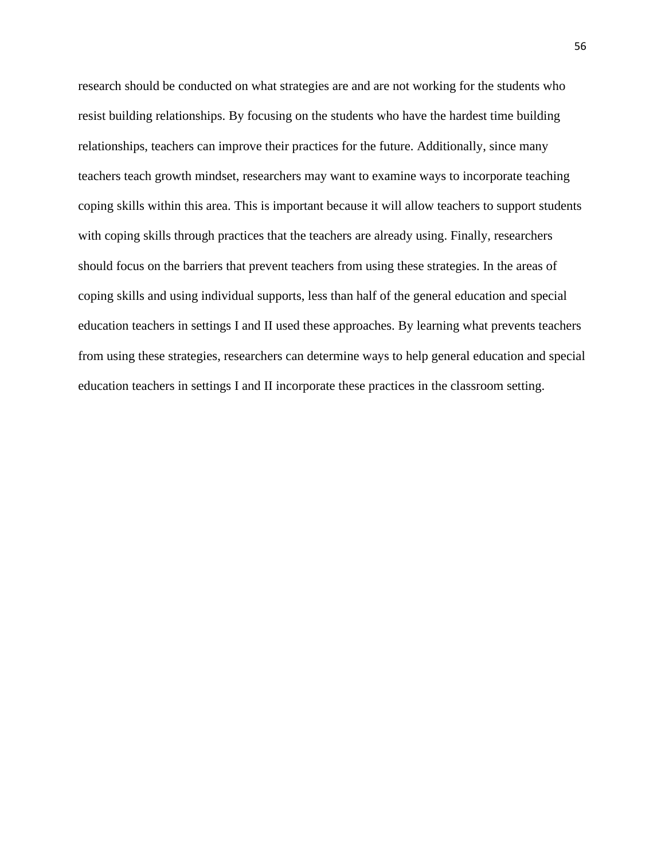research should be conducted on what strategies are and are not working for the students who resist building relationships. By focusing on the students who have the hardest time building relationships, teachers can improve their practices for the future. Additionally, since many teachers teach growth mindset, researchers may want to examine ways to incorporate teaching coping skills within this area. This is important because it will allow teachers to support students with coping skills through practices that the teachers are already using. Finally, researchers should focus on the barriers that prevent teachers from using these strategies. In the areas of coping skills and using individual supports, less than half of the general education and special education teachers in settings I and II used these approaches. By learning what prevents teachers from using these strategies, researchers can determine ways to help general education and special education teachers in settings I and II incorporate these practices in the classroom setting.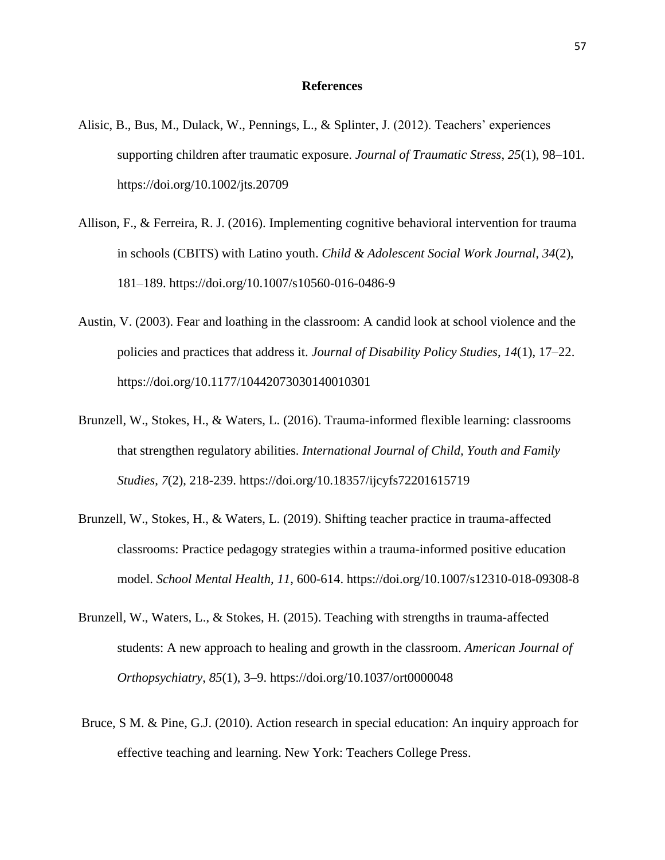#### **References**

- Alisic, B., Bus, M., Dulack, W., Pennings, L., & Splinter, J. (2012). Teachers' experiences supporting children after traumatic exposure. *Journal of Traumatic Stress*, *25*(1), 98–101. https://doi.org/10.1002/jts.20709
- Allison, F., & Ferreira, R. J. (2016). Implementing cognitive behavioral intervention for trauma in schools (CBITS) with Latino youth. *Child & Adolescent Social Work Journal*, *34*(2), 181–189. https://doi.org/10.1007/s10560-016-0486-9
- Austin, V. (2003). Fear and loathing in the classroom: A candid look at school violence and the policies and practices that address it. *Journal of Disability Policy Studies*, *14*(1), 17–22. https://doi.org/10.1177/10442073030140010301
- Brunzell, W., Stokes, H., & Waters, L. (2016). Trauma-informed flexible learning: classrooms that strengthen regulatory abilities. *International Journal of Child, Youth and Family Studies*, *7*(2), 218-239. https://doi.org/10.18357/ijcyfs72201615719
- Brunzell, W., Stokes, H., & Waters, L. (2019). Shifting teacher practice in trauma-affected classrooms: Practice pedagogy strategies within a trauma-informed positive education model. *School Mental Health, 11*, 600-614. https://doi.org/10.1007/s12310-018-09308-8
- Brunzell, W., Waters, L., & Stokes, H. (2015). Teaching with strengths in trauma-affected students: A new approach to healing and growth in the classroom. *American Journal of Orthopsychiatry*, *85*(1), 3–9. https://doi.org/10.1037/ort0000048
- Bruce, S M. & Pine, G.J. (2010). Action research in special education: An inquiry approach for effective teaching and learning. New York: Teachers College Press.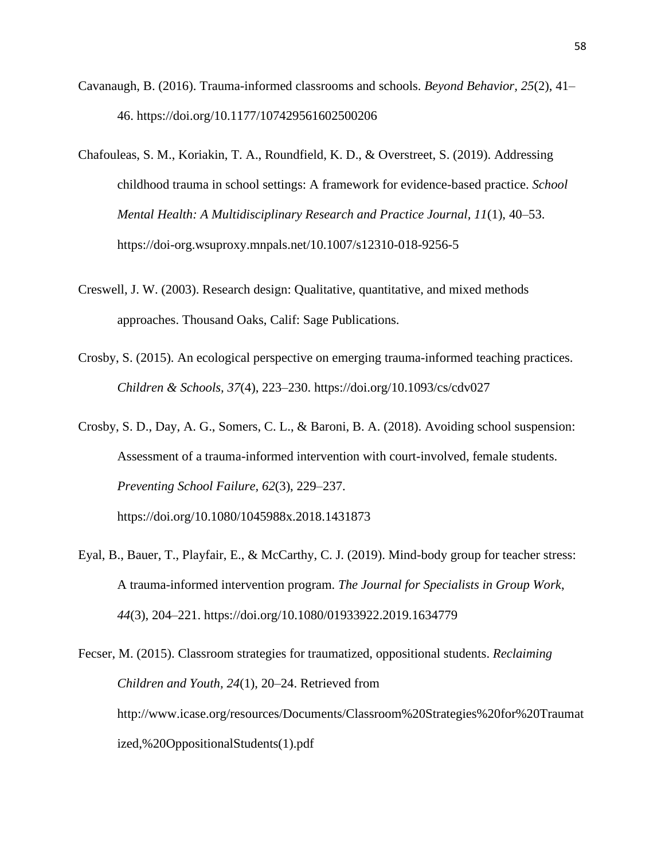- Cavanaugh, B. (2016). Trauma-informed classrooms and schools. *Beyond Behavior, 25*(2), 41– 46. https://doi.org/10.1177/107429561602500206
- Chafouleas, S. M., Koriakin, T. A., Roundfield, K. D., & Overstreet, S. (2019). Addressing childhood trauma in school settings: A framework for evidence-based practice. *School Mental Health: A Multidisciplinary Research and Practice Journal, 11*(1), 40–53. https://doi-org.wsuproxy.mnpals.net/10.1007/s12310-018-9256-5
- Creswell, J. W. (2003). Research design: Qualitative, quantitative, and mixed methods approaches. Thousand Oaks, Calif: Sage Publications.
- Crosby, S. (2015). An ecological perspective on emerging trauma-informed teaching practices. *Children & Schools, 37*(4), 223–230. https://doi.org/10.1093/cs/cdv027
- Crosby, S. D., Day, A. G., Somers, C. L., & Baroni, B. A. (2018). Avoiding school suspension: Assessment of a trauma-informed intervention with court-involved, female students. *Preventing School Failure, 62*(3), 229–237.

https://doi.org/10.1080/1045988x.2018.1431873

Eyal, B., Bauer, T., Playfair, E., & McCarthy, C. J. (2019). Mind-body group for teacher stress: A trauma-informed intervention program. *The Journal for Specialists in Group Work*, *44*(3), 204–221. https://doi.org/10.1080/01933922.2019.1634779

Fecser, M. (2015). Classroom strategies for traumatized, oppositional students. *Reclaiming Children and Youth, 24*(1), 20–24. Retrieved from http://www.icase.org/resources/Documents/Classroom%20Strategies%20for%20Traumat ized,%20OppositionalStudents(1).pdf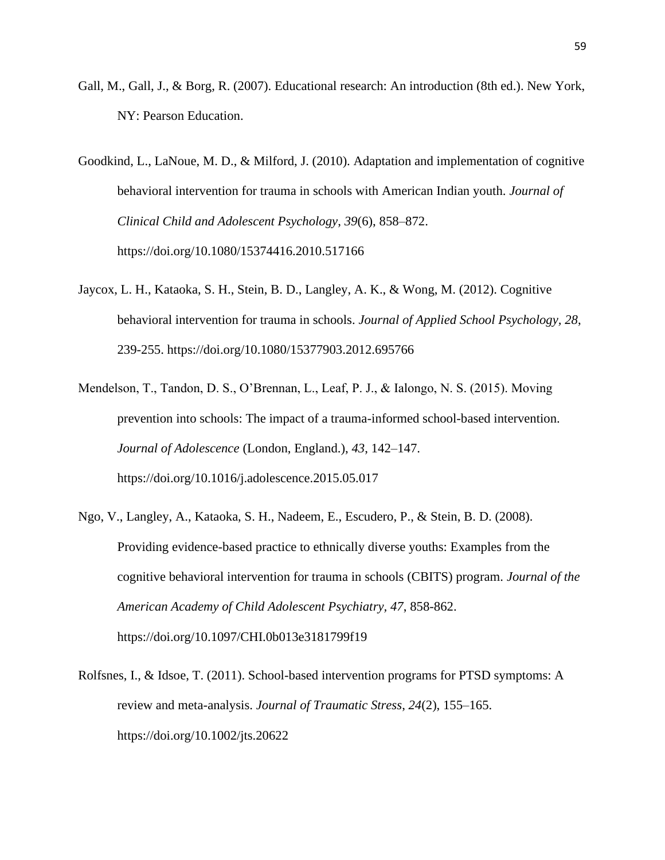- Gall, M., Gall, J., & Borg, R. (2007). Educational research: An introduction (8th ed.). New York, NY: Pearson Education.
- Goodkind, L., LaNoue, M. D., & Milford, J. (2010). Adaptation and implementation of cognitive behavioral intervention for trauma in schools with American Indian youth. *Journal of Clinical Child and Adolescent Psychology*, *39*(6), 858–872. https://doi.org/10.1080/15374416.2010.517166
- Jaycox, L. H., Kataoka, S. H., Stein, B. D., Langley, A. K., & Wong, M. (2012). Cognitive behavioral intervention for trauma in schools. *Journal of Applied School Psychology, 28*, 239-255. https://doi.org/10.1080/15377903.2012.695766
- Mendelson, T., Tandon, D. S., O'Brennan, L., Leaf, P. J., & Ialongo, N. S. (2015). Moving prevention into schools: The impact of a trauma-informed school-based intervention. *Journal of Adolescence* (London, England.), *43*, 142–147. https://doi.org/10.1016/j.adolescence.2015.05.017
- Ngo, V., Langley, A., Kataoka, S. H., Nadeem, E., Escudero, P., & Stein, B. D. (2008). Providing evidence-based practice to ethnically diverse youths: Examples from the cognitive behavioral intervention for trauma in schools (CBITS) program. *Journal of the American Academy of Child Adolescent Psychiatry, 47*, 858-862. https://doi.org/10.1097/CHI.0b013e3181799f19
- Rolfsnes, I., & Idsoe, T. (2011). School-based intervention programs for PTSD symptoms: A review and meta-analysis. *Journal of Traumatic Stress*, *24*(2), 155–165. https://doi.org/10.1002/jts.20622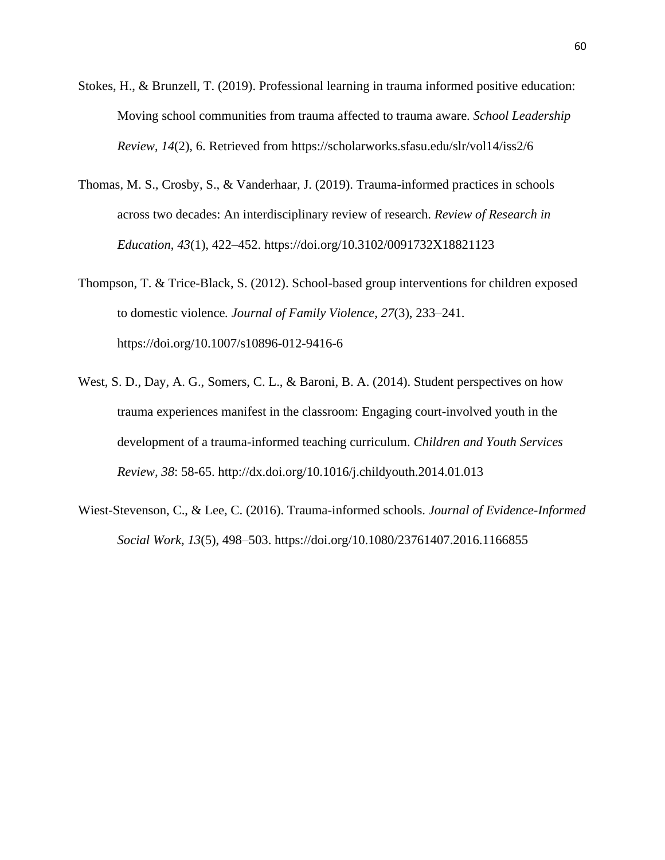- Stokes, H., & Brunzell, T. (2019). Professional learning in trauma informed positive education: Moving school communities from trauma affected to trauma aware. *School Leadership Review*, *14*(2), 6. Retrieved from https://scholarworks.sfasu.edu/slr/vol14/iss2/6
- Thomas, M. S., Crosby, S., & Vanderhaar, J. (2019). Trauma-informed practices in schools across two decades: An interdisciplinary review of research. *Review of Research in Education*, *43*(1), 422–452. https://doi.org/10.3102/0091732X18821123
- Thompson, T. & Trice-Black, S. (2012). School-based group interventions for children exposed to domestic violence*. Journal of Family Violence*, *27*(3), 233–241. https://doi.org/10.1007/s10896-012-9416-6
- West, S. D., Day, A. G., Somers, C. L., & Baroni, B. A. (2014). Student perspectives on how trauma experiences manifest in the classroom: Engaging court-involved youth in the development of a trauma-informed teaching curriculum. *Children and Youth Services Review, 38*: 58-65. http://dx.doi.org/10.1016/j.childyouth.2014.01.013
- Wiest-Stevenson, C., & Lee, C. (2016). Trauma-informed schools. *Journal of Evidence-Informed Social Work*, *13*(5), 498–503. https://doi.org/10.1080/23761407.2016.1166855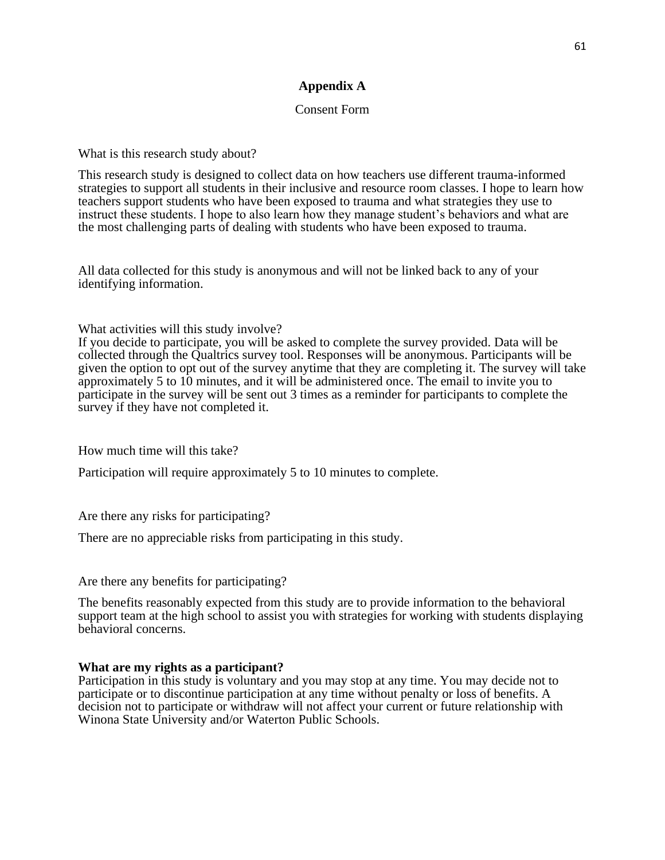# **Appendix A**

#### Consent Form

What is this research study about?

This research study is designed to collect data on how teachers use different trauma-informed strategies to support all students in their inclusive and resource room classes. I hope to learn how teachers support students who have been exposed to trauma and what strategies they use to instruct these students. I hope to also learn how they manage student's behaviors and what are the most challenging parts of dealing with students who have been exposed to trauma.

All data collected for this study is anonymous and will not be linked back to any of your identifying information.

What activities will this study involve?

If you decide to participate, you will be asked to complete the survey provided. Data will be collected through the Qualtrics survey tool. Responses will be anonymous. Participants will be given the option to opt out of the survey anytime that they are completing it. The survey will take approximately 5 to 10 minutes, and it will be administered once. The email to invite you to participate in the survey will be sent out 3 times as a reminder for participants to complete the survey if they have not completed it.

How much time will this take?

Participation will require approximately 5 to 10 minutes to complete.

Are there any risks for participating?

There are no appreciable risks from participating in this study.

Are there any benefits for participating?

The benefits reasonably expected from this study are to provide information to the behavioral support team at the high school to assist you with strategies for working with students displaying behavioral concerns.

#### **What are my rights as a participant?**

Participation in this study is voluntary and you may stop at any time. You may decide not to participate or to discontinue participation at any time without penalty or loss of benefits. A decision not to participate or withdraw will not affect your current or future relationship with Winona State University and/or Waterton Public Schools.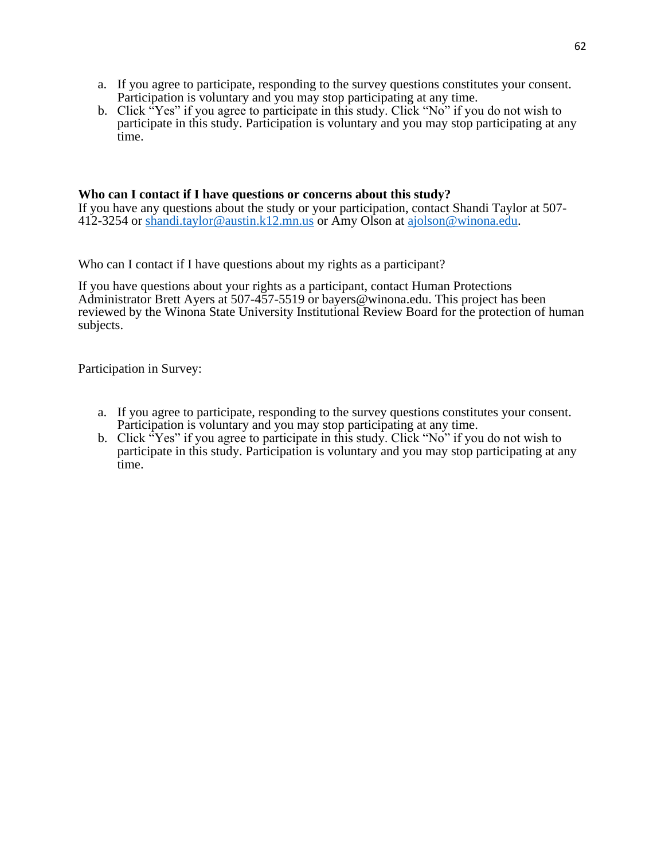- a. If you agree to participate, responding to the survey questions constitutes your consent. Participation is voluntary and you may stop participating at any time.
- b. Click "Yes" if you agree to participate in this study. Click "No" if you do not wish to participate in this study. Participation is voluntary and you may stop participating at any time.

### **Who can I contact if I have questions or concerns about this study?**

If you have any questions about the study or your participation, contact Shandi Taylor at 507- 412-3254 or [shandi.taylor@austin.k12.mn.us](mailto:shandi.taylor@austin.k12.mn.us) or Amy Olson at [ajolson@winona.edu.](mailto:ajolson@winona.edu)

Who can I contact if I have questions about my rights as a participant?

If you have questions about your rights as a participant, contact Human Protections Administrator Brett Ayers at 507-457-5519 or bayers@winona.edu. This project has been reviewed by the Winona State University Institutional Review Board for the protection of human subjects.

Participation in Survey:

- a. If you agree to participate, responding to the survey questions constitutes your consent. Participation is voluntary and you may stop participating at any time.
- b. Click "Yes" if you agree to participate in this study. Click "No" if you do not wish to participate in this study. Participation is voluntary and you may stop participating at any time.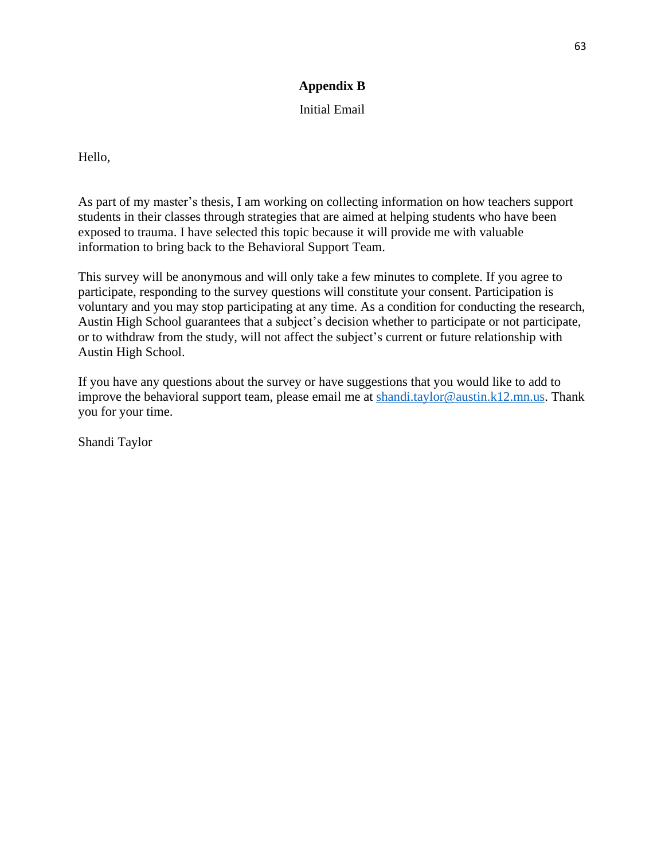# **Appendix B**

# Initial Email

Hello,

As part of my master's thesis, I am working on collecting information on how teachers support students in their classes through strategies that are aimed at helping students who have been exposed to trauma. I have selected this topic because it will provide me with valuable information to bring back to the Behavioral Support Team.

This survey will be anonymous and will only take a few minutes to complete. If you agree to participate, responding to the survey questions will constitute your consent. Participation is voluntary and you may stop participating at any time. As a condition for conducting the research, Austin High School guarantees that a subject's decision whether to participate or not participate, or to withdraw from the study, will not affect the subject's current or future relationship with Austin High School.

If you have any questions about the survey or have suggestions that you would like to add to improve the behavioral support team, please email me at [shandi.taylor@austin.k12.mn.us.](mailto:shandi.taylor@austin.k12.mn.us) Thank you for your time.

Shandi Taylor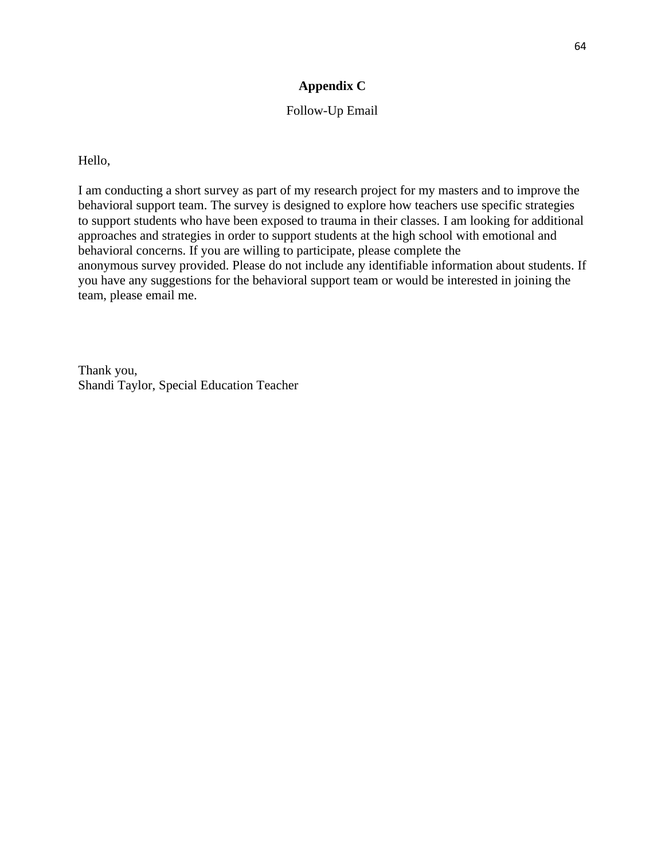# **Appendix C**

# Follow-Up Email

Hello,

I am conducting a short survey as part of my research project for my masters and to improve the behavioral support team. The survey is designed to explore how teachers use specific strategies to support students who have been exposed to trauma in their classes. I am looking for additional approaches and strategies in order to support students at the high school with emotional and behavioral concerns. If you are willing to participate, please complete the anonymous survey provided. Please do not include any identifiable information about students. If you have any suggestions for the behavioral support team or would be interested in joining the team, please email me.

Thank you, Shandi Taylor, Special Education Teacher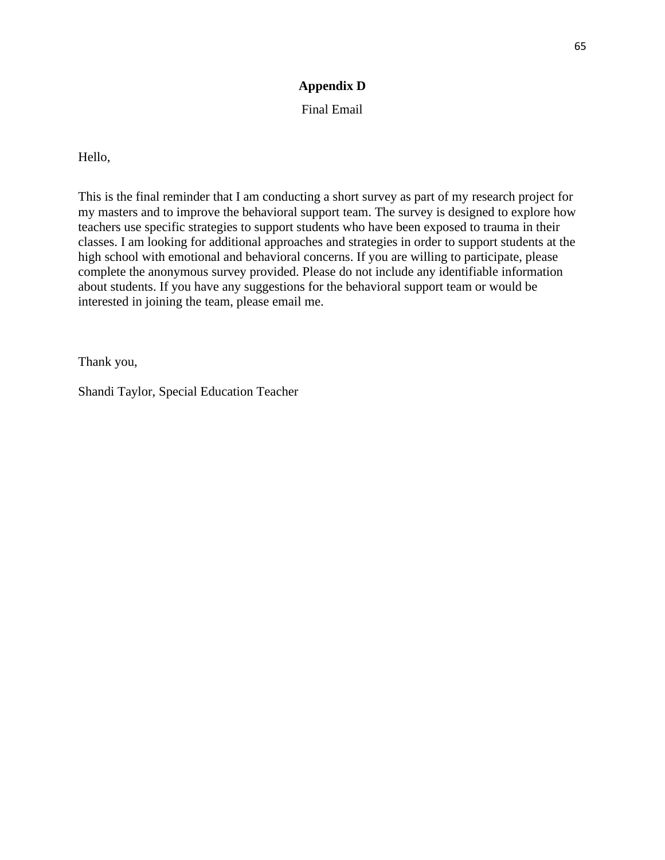# **Appendix D**

## Final Email

Hello,

This is the final reminder that I am conducting a short survey as part of my research project for my masters and to improve the behavioral support team. The survey is designed to explore how teachers use specific strategies to support students who have been exposed to trauma in their classes. I am looking for additional approaches and strategies in order to support students at the high school with emotional and behavioral concerns. If you are willing to participate, please complete the anonymous survey provided. Please do not include any identifiable information about students. If you have any suggestions for the behavioral support team or would be interested in joining the team, please email me.

Thank you,

Shandi Taylor, Special Education Teacher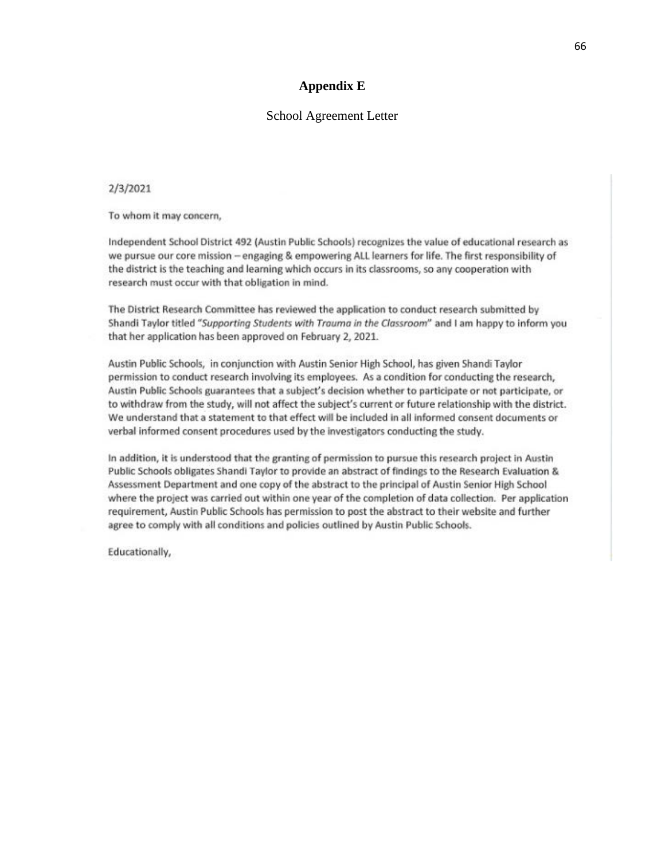#### **Appendix E**

#### School Agreement Letter

#### 2/3/2021

To whom it may concern,

Independent School District 492 (Austin Public Schools) recognizes the value of educational research as we pursue our core mission - engaging & empowering ALL learners for life. The first responsibility of the district is the teaching and learning which occurs in its classrooms, so any cooperation with research must occur with that obligation in mind.

The District Research Committee has reviewed the application to conduct research submitted by Shandi Taylor titled "Supporting Students with Trauma in the Classroom" and I am happy to inform you that her application has been approved on February 2, 2021.

Austin Public Schools, in conjunction with Austin Senior High School, has given Shandi Taylor permission to conduct research involving its employees. As a condition for conducting the research, Austin Public Schools guarantees that a subject's decision whether to participate or not participate, or to withdraw from the study, will not affect the subject's current or future relationship with the district. We understand that a statement to that effect will be included in all informed consent documents or verbal informed consent procedures used by the investigators conducting the study.

In addition, it is understood that the granting of permission to pursue this research project in Austin Public Schools obligates Shandi Taylor to provide an abstract of findings to the Research Evaluation & Assessment Department and one copy of the abstract to the principal of Austin Senior High School where the project was carried out within one year of the completion of data collection. Per application requirement, Austin Public Schools has permission to post the abstract to their website and further agree to comply with all conditions and policies outlined by Austin Public Schools.

Educationally,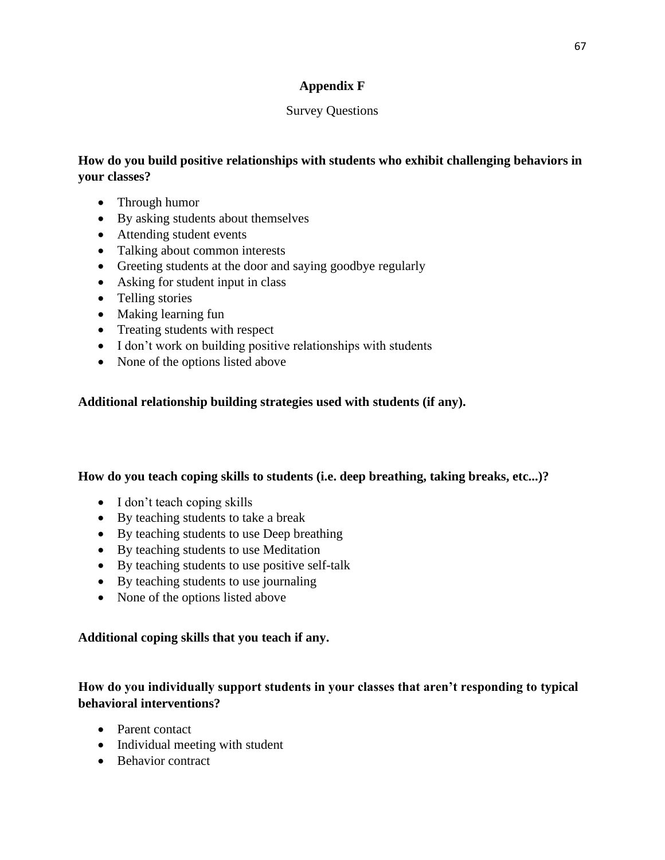# **Appendix F**

# Survey Questions

# **How do you build positive relationships with students who exhibit challenging behaviors in your classes?**

- Through humor
- By asking students about themselves
- Attending student events
- Talking about common interests
- Greeting students at the door and saying goodbye regularly
- Asking for student input in class
- Telling stories
- Making learning fun
- Treating students with respect
- I don't work on building positive relationships with students
- None of the options listed above

# **Additional relationship building strategies used with students (if any).**

# **How do you teach coping skills to students (i.e. deep breathing, taking breaks, etc...)?**

- I don't teach coping skills
- By teaching students to take a break
- By teaching students to use Deep breathing
- By teaching students to use Meditation
- By teaching students to use positive self-talk
- By teaching students to use journaling
- None of the options listed above

# **Additional coping skills that you teach if any.**

# **How do you individually support students in your classes that aren't responding to typical behavioral interventions?**

- Parent contact
- Individual meeting with student
- Behavior contract